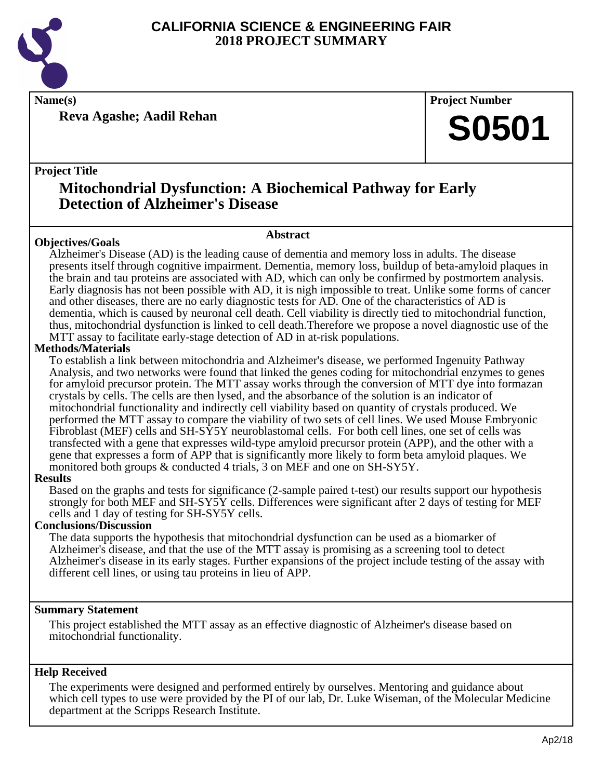

**Name(s) Project Number**

**Reva Agashe; Aadil Rehan**

## **S0501**

#### **Project Title**

### **Mitochondrial Dysfunction: A Biochemical Pathway for Early Detection of Alzheimer's Disease**

#### **Objectives/Goals**

**Abstract**

Alzheimer's Disease (AD) is the leading cause of dementia and memory loss in adults. The disease presents itself through cognitive impairment. Dementia, memory loss, buildup of beta-amyloid plaques in the brain and tau proteins are associated with AD, which can only be confirmed by postmortem analysis. Early diagnosis has not been possible with AD, it is nigh impossible to treat. Unlike some forms of cancer and other diseases, there are no early diagnostic tests for AD. One of the characteristics of AD is dementia, which is caused by neuronal cell death. Cell viability is directly tied to mitochondrial function, thus, mitochondrial dysfunction is linked to cell death.Therefore we propose a novel diagnostic use of the MTT assay to facilitate early-stage detection of AD in at-risk populations.

#### **Methods/Materials**

To establish a link between mitochondria and Alzheimer's disease, we performed Ingenuity Pathway Analysis, and two networks were found that linked the genes coding for mitochondrial enzymes to genes for amyloid precursor protein. The MTT assay works through the conversion of MTT dye into formazan crystals by cells. The cells are then lysed, and the absorbance of the solution is an indicator of mitochondrial functionality and indirectly cell viability based on quantity of crystals produced. We performed the MTT assay to compare the viability of two sets of cell lines. We used Mouse Embryonic Fibroblast (MEF) cells and SH-SY5Y neuroblastomal cells. For both cell lines, one set of cells was transfected with a gene that expresses wild-type amyloid precursor protein (APP), and the other with a gene that expresses a form of APP that is significantly more likely to form beta amyloid plaques. We monitored both groups & conducted 4 trials, 3 on MEF and one on SH-SY5Y.

#### **Results**

Based on the graphs and tests for significance (2-sample paired t-test) our results support our hypothesis strongly for both MEF and SH-SY5Y cells. Differences were significant after 2 days of testing for MEF cells and 1 day of testing for SH-SY5Y cells.

#### **Conclusions/Discussion**

The data supports the hypothesis that mitochondrial dysfunction can be used as a biomarker of Alzheimer's disease, and that the use of the MTT assay is promising as a screening tool to detect Alzheimer's disease in its early stages. Further expansions of the project include testing of the assay with different cell lines, or using tau proteins in lieu of APP.

#### **Summary Statement**

This project established the MTT assay as an effective diagnostic of Alzheimer's disease based on mitochondrial functionality.

#### **Help Received**

The experiments were designed and performed entirely by ourselves. Mentoring and guidance about which cell types to use were provided by the PI of our lab, Dr. Luke Wiseman, of the Molecular Medicine department at the Scripps Research Institute.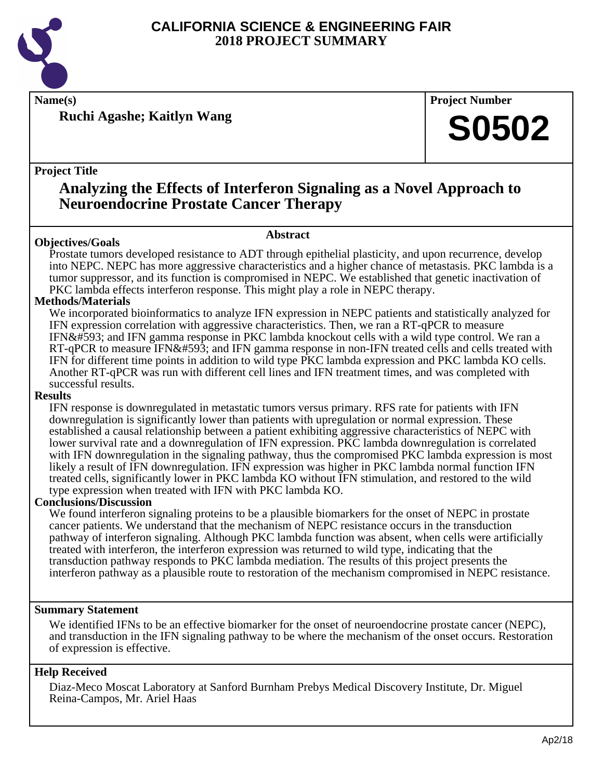

**Name(s) Project Number**

**Ruchi Agashe; Kaitlyn Wang**

**Project Title**

**Analyzing the Effects of Interferon Signaling as a Novel Approach to**

## **Neuroendocrine Prostate Cancer Therapy**

#### **Objectives/Goals**

Prostate tumors developed resistance to ADT through epithelial plasticity, and upon recurrence, develop into NEPC. NEPC has more aggressive characteristics and a higher chance of metastasis. PKC lambda is a tumor suppressor, and its function is compromised in NEPC. We established that genetic inactivation of PKC lambda effects interferon response. This might play a role in NEPC therapy.

**Abstract**

#### **Methods/Materials**

We incorporated bioinformatics to analyze IFN expression in NEPC patients and statistically analyzed for IFN expression correlation with aggressive characteristics. Then, we ran a RT-qPCR to measure IFNɑ and IFN gamma response in PKC lambda knockout cells with a wild type control. We ran a RT-qPCR to measure IFNɑ and IFN gamma response in non-IFN treated cells and cells treated with IFN for different time points in addition to wild type PKC lambda expression and PKC lambda KO cells. Another RT-qPCR was run with different cell lines and IFN treatment times, and was completed with successful results.

#### **Results**

IFN response is downregulated in metastatic tumors versus primary. RFS rate for patients with IFN downregulation is significantly lower than patients with upregulation or normal expression. These established a causal relationship between a patient exhibiting aggressive characteristics of NEPC with lower survival rate and a downregulation of IFN expression. PKC lambda downregulation is correlated with IFN downregulation in the signaling pathway, thus the compromised PKC lambda expression is most likely a result of IFN downregulation. IFN expression was higher in PKC lambda normal function IFN treated cells, significantly lower in PKC lambda KO without IFN stimulation, and restored to the wild type expression when treated with IFN with PKC lambda KO.

#### **Conclusions/Discussion**

We found interferon signaling proteins to be a plausible biomarkers for the onset of NEPC in prostate cancer patients. We understand that the mechanism of NEPC resistance occurs in the transduction pathway of interferon signaling. Although PKC lambda function was absent, when cells were artificially treated with interferon, the interferon expression was returned to wild type, indicating that the transduction pathway responds to PKC lambda mediation. The results of this project presents the interferon pathway as a plausible route to restoration of the mechanism compromised in NEPC resistance.

#### **Summary Statement**

We identified IFNs to be an effective biomarker for the onset of neuroendocrine prostate cancer (NEPC), and transduction in the IFN signaling pathway to be where the mechanism of the onset occurs. Restoration of expression is effective.

#### **Help Received**

Diaz-Meco Moscat Laboratory at Sanford Burnham Prebys Medical Discovery Institute, Dr. Miguel Reina-Campos, Mr. Ariel Haas

**S0502**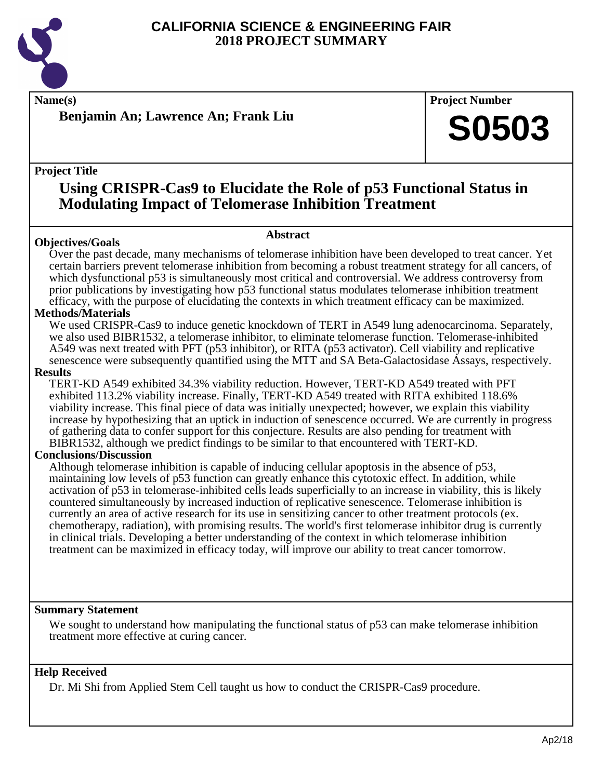

**Benjamin An; Lawrence An; Frank Liu**

**Name(s) Project Number**

**S0503**

#### **Project Title**

### **Using CRISPR-Cas9 to Elucidate the Role of p53 Functional Status in Modulating Impact of Telomerase Inhibition Treatment**

**Abstract**

#### **Objectives/Goals**

Over the past decade, many mechanisms of telomerase inhibition have been developed to treat cancer. Yet certain barriers prevent telomerase inhibition from becoming a robust treatment strategy for all cancers, of which dysfunctional p53 is simultaneously most critical and controversial. We address controversy from prior publications by investigating how p53 functional status modulates telomerase inhibition treatment efficacy, with the purpose of elucidating the contexts in which treatment efficacy can be maximized.

#### **Methods/Materials**

We used CRISPR-Cas9 to induce genetic knockdown of TERT in A549 lung adenocarcinoma. Separately, we also used BIBR1532, a telomerase inhibitor, to eliminate telomerase function. Telomerase-inhibited A549 was next treated with PFT (p53 inhibitor), or RITA (p53 activator). Cell viability and replicative senescence were subsequently quantified using the MTT and SA Beta-Galactosidase Assays, respectively.

#### **Results**

TERT-KD A549 exhibited 34.3% viability reduction. However, TERT-KD A549 treated with PFT exhibited 113.2% viability increase. Finally, TERT-KD A549 treated with RITA exhibited 118.6% viability increase. This final piece of data was initially unexpected; however, we explain this viability increase by hypothesizing that an uptick in induction of senescence occurred. We are currently in progress of gathering data to confer support for this conjecture. Results are also pending for treatment with BIBR1532, although we predict findings to be similar to that encountered with TERT-KD.

#### **Conclusions/Discussion**

Although telomerase inhibition is capable of inducing cellular apoptosis in the absence of p53, maintaining low levels of p53 function can greatly enhance this cytotoxic effect. In addition, while activation of p53 in telomerase-inhibited cells leads superficially to an increase in viability, this is likely countered simultaneously by increased induction of replicative senescence. Telomerase inhibition is currently an area of active research for its use in sensitizing cancer to other treatment protocols (ex. chemotherapy, radiation), with promising results. The world's first telomerase inhibitor drug is currently in clinical trials. Developing a better understanding of the context in which telomerase inhibition treatment can be maximized in efficacy today, will improve our ability to treat cancer tomorrow.

#### **Summary Statement**

We sought to understand how manipulating the functional status of p53 can make telomerase inhibition treatment more effective at curing cancer.

#### **Help Received**

Dr. Mi Shi from Applied Stem Cell taught us how to conduct the CRISPR-Cas9 procedure.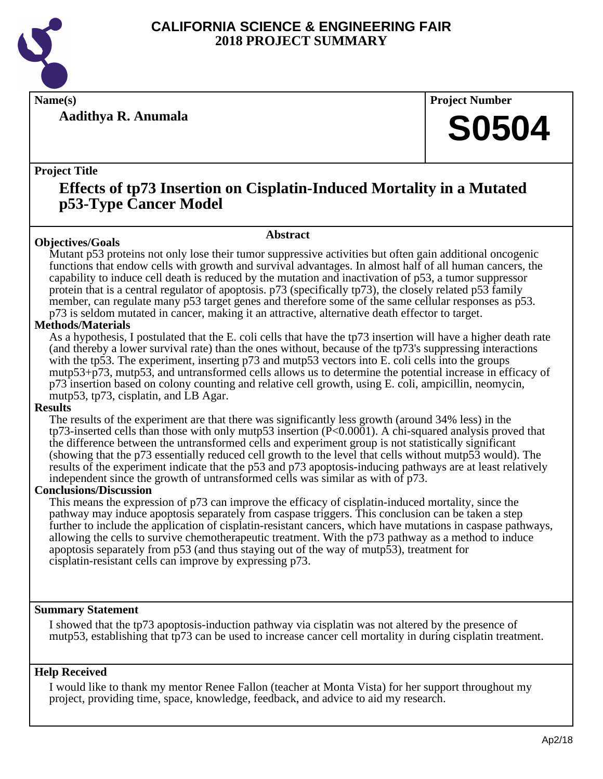

**Aadithya R. Anumala**

**Name(s) Project Number**

## **S0504**

#### **Project Title**

## **Effects of tp73 Insertion on Cisplatin-Induced Mortality in a Mutated p53-Type Cancer Model**

**Abstract**

#### **Objectives/Goals**

Mutant p53 proteins not only lose their tumor suppressive activities but often gain additional oncogenic functions that endow cells with growth and survival advantages. In almost half of all human cancers, the capability to induce cell death is reduced by the mutation and inactivation of p53, a tumor suppressor protein that is a central regulator of apoptosis. p73 (specifically tp73), the closely related p53 family member, can regulate many p53 target genes and therefore some of the same cellular responses as p53. p73 is seldom mutated in cancer, making it an attractive, alternative death effector to target.

#### **Methods/Materials**

As a hypothesis, I postulated that the E. coli cells that have the tp73 insertion will have a higher death rate (and thereby a lower survival rate) than the ones without, because of the tp73's suppressing interactions with the tp53. The experiment, inserting p73 and mutp53 vectors into E. coli cells into the groups mutp53+p73, mutp53, and untransformed cells allows us to determine the potential increase in efficacy of p73 insertion based on colony counting and relative cell growth, using E. coli, ampicillin, neomycin, mutp53, tp73, cisplatin, and LB Agar.

#### **Results**

The results of the experiment are that there was significantly less growth (around 34% less) in the tp73-inserted cells than those with only mutp53 insertion (P<0.0001). A chi-squared analysis proved that the difference between the untransformed cells and experiment group is not statistically significant (showing that the p73 essentially reduced cell growth to the level that cells without mutp53 would). The results of the experiment indicate that the p53 and p73 apoptosis-inducing pathways are at least relatively independent since the growth of untransformed cells was similar as with of p73.

#### **Conclusions/Discussion**

This means the expression of p73 can improve the efficacy of cisplatin-induced mortality, since the pathway may induce apoptosis separately from caspase triggers. This conclusion can be taken a step further to include the application of cisplatin-resistant cancers, which have mutations in caspase pathways, allowing the cells to survive chemotherapeutic treatment. With the p73 pathway as a method to induce apoptosis separately from p53 (and thus staying out of the way of mutp53), treatment for cisplatin-resistant cells can improve by expressing p73.

#### **Summary Statement**

I showed that the tp73 apoptosis-induction pathway via cisplatin was not altered by the presence of mutp53, establishing that tp73 can be used to increase cancer cell mortality in during cisplatin treatment.

#### **Help Received**

I would like to thank my mentor Renee Fallon (teacher at Monta Vista) for her support throughout my project, providing time, space, knowledge, feedback, and advice to aid my research.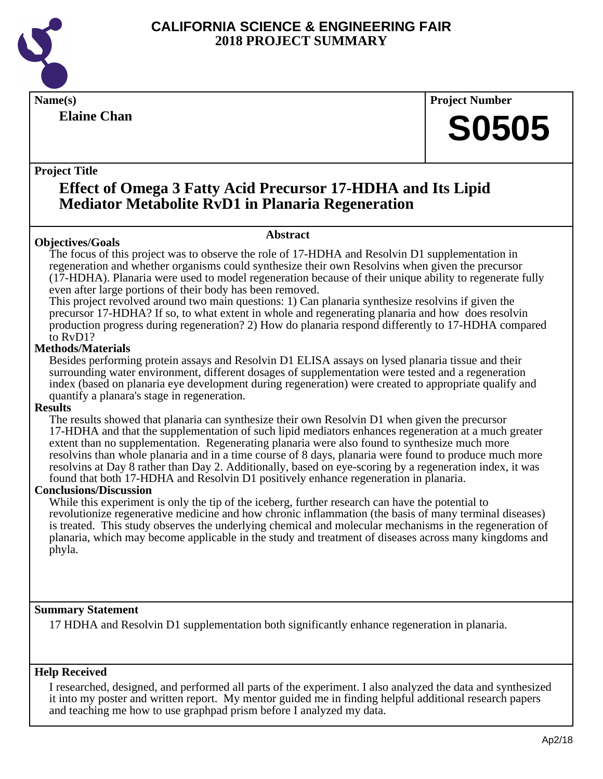

**Elaine Chan**

**Name(s) Project Number**

## **S0505**

#### **Project Title**

## **Effect of Omega 3 Fatty Acid Precursor 17-HDHA and Its Lipid Mediator Metabolite RvD1 in Planaria Regeneration**

#### **Objectives/Goals**

**Abstract**

The focus of this project was to observe the role of 17-HDHA and Resolvin D1 supplementation in regeneration and whether organisms could synthesize their own Resolvins when given the precursor (17-HDHA). Planaria were used to model regeneration because of their unique ability to regenerate fully even after large portions of their body has been removed.

This project revolved around two main questions: 1) Can planaria synthesize resolvins if given the precursor 17-HDHA? If so, to what extent in whole and regenerating planaria and how does resolvin production progress during regeneration? 2) How do planaria respond differently to 17-HDHA compared to RvD1?

#### **Methods/Materials**

Besides performing protein assays and Resolvin D1 ELISA assays on lysed planaria tissue and their surrounding water environment, different dosages of supplementation were tested and a regeneration index (based on planaria eye development during regeneration) were created to appropriate qualify and quantify a planara's stage in regeneration.

#### **Results**

The results showed that planaria can synthesize their own Resolvin D1 when given the precursor 17-HDHA and that the supplementation of such lipid mediators enhances regeneration at a much greater extent than no supplementation. Regenerating planaria were also found to synthesize much more resolvins than whole planaria and in a time course of 8 days, planaria were found to produce much more resolvins at Day 8 rather than Day 2. Additionally, based on eye-scoring by a regeneration index, it was found that both 17-HDHA and Resolvin D1 positively enhance regeneration in planaria.

#### **Conclusions/Discussion**

While this experiment is only the tip of the iceberg, further research can have the potential to revolutionize regenerative medicine and how chronic inflammation (the basis of many terminal diseases) is treated. This study observes the underlying chemical and molecular mechanisms in the regeneration of planaria, which may become applicable in the study and treatment of diseases across many kingdoms and phyla.

#### **Summary Statement**

17 HDHA and Resolvin D1 supplementation both significantly enhance regeneration in planaria.

#### **Help Received**

I researched, designed, and performed all parts of the experiment. I also analyzed the data and synthesized it into my poster and written report. My mentor guided me in finding helpful additional research papers and teaching me how to use graphpad prism before I analyzed my data.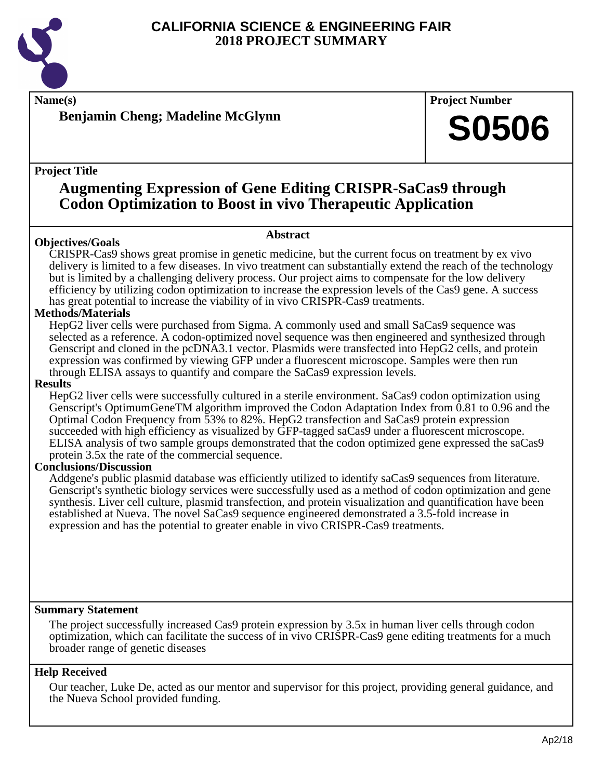

**Name(s) Project Number**

**Benjamin Cheng; Madeline McGlynn**

#### **Project Title**

## **Augmenting Expression of Gene Editing CRISPR-SaCas9 through Codon Optimization to Boost in vivo Therapeutic Application**

#### **Abstract**

CRISPR-Cas9 shows great promise in genetic medicine, but the current focus on treatment by ex vivo delivery is limited to a few diseases. In vivo treatment can substantially extend the reach of the technology but is limited by a challenging delivery process. Our project aims to compensate for the low delivery efficiency by utilizing codon optimization to increase the expression levels of the Cas9 gene. A success has great potential to increase the viability of in vivo CRISPR-Cas9 treatments.

#### **Methods/Materials**

**Objectives/Goals**

HepG2 liver cells were purchased from Sigma. A commonly used and small SaCas9 sequence was selected as a reference. A codon-optimized novel sequence was then engineered and synthesized through Genscript and cloned in the pcDNA3.1 vector. Plasmids were transfected into HepG2 cells, and protein expression was confirmed by viewing GFP under a fluorescent microscope. Samples were then run through ELISA assays to quantify and compare the SaCas9 expression levels.

#### **Results**

HepG2 liver cells were successfully cultured in a sterile environment. SaCas9 codon optimization using Genscript's OptimumGeneTM algorithm improved the Codon Adaptation Index from 0.81 to 0.96 and the Optimal Codon Frequency from 53% to 82%. HepG2 transfection and SaCas9 protein expression succeeded with high efficiency as visualized by GFP-tagged saCas9 under a fluorescent microscope. ELISA analysis of two sample groups demonstrated that the codon optimized gene expressed the saCas9 protein 3.5x the rate of the commercial sequence.

#### **Conclusions/Discussion**

Addgene's public plasmid database was efficiently utilized to identify saCas9 sequences from literature. Genscript's synthetic biology services were successfully used as a method of codon optimization and gene synthesis. Liver cell culture, plasmid transfection, and protein visualization and quantification have been established at Nueva. The novel SaCas9 sequence engineered demonstrated a 3.5-fold increase in expression and has the potential to greater enable in vivo CRISPR-Cas9 treatments.

#### **Summary Statement**

The project successfully increased Cas9 protein expression by 3.5x in human liver cells through codon optimization, which can facilitate the success of in vivo CRISPR-Cas9 gene editing treatments for a much broader range of genetic diseases

#### **Help Received**

Our teacher, Luke De, acted as our mentor and supervisor for this project, providing general guidance, and the Nueva School provided funding.

**S0506**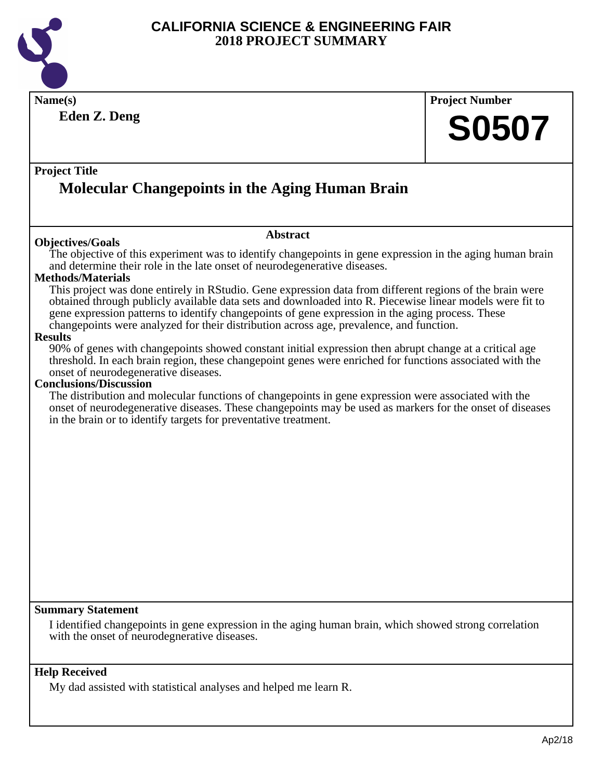

**Eden Z. Deng**

**Name(s) Project Number S0507**

#### **Project Title**

## **Molecular Changepoints in the Aging Human Brain**

#### **Objectives/Goals**

#### **Abstract**

The objective of this experiment was to identify changepoints in gene expression in the aging human brain and determine their role in the late onset of neurodegenerative diseases.

#### **Methods/Materials**

This project was done entirely in RStudio. Gene expression data from different regions of the brain were obtained through publicly available data sets and downloaded into R. Piecewise linear models were fit to gene expression patterns to identify changepoints of gene expression in the aging process. These changepoints were analyzed for their distribution across age, prevalence, and function.

#### **Results**

90% of genes with changepoints showed constant initial expression then abrupt change at a critical age threshold. In each brain region, these changepoint genes were enriched for functions associated with the onset of neurodegenerative diseases.

#### **Conclusions/Discussion**

The distribution and molecular functions of changepoints in gene expression were associated with the onset of neurodegenerative diseases. These changepoints may be used as markers for the onset of diseases in the brain or to identify targets for preventative treatment.

#### **Summary Statement**

I identified changepoints in gene expression in the aging human brain, which showed strong correlation with the onset of neurodegnerative diseases.

#### **Help Received**

My dad assisted with statistical analyses and helped me learn R.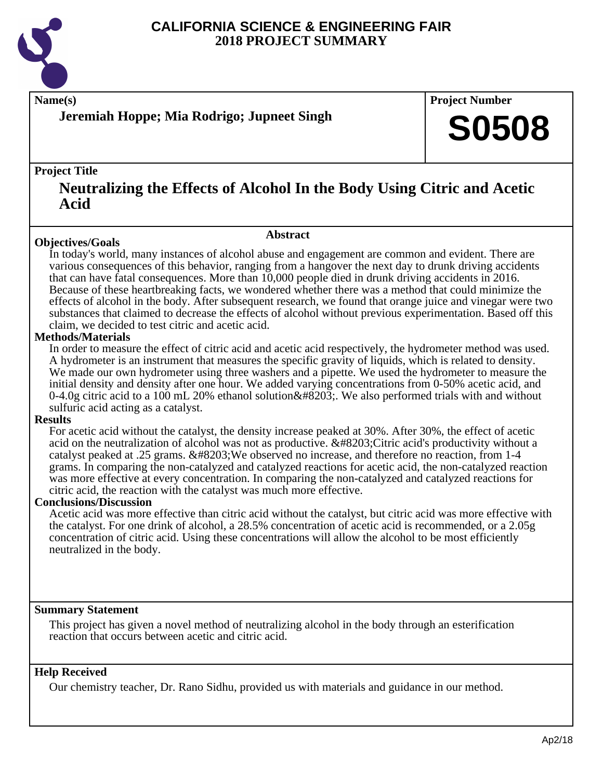

**Name(s) Project Number**

### **Jeremiah Hoppe; Mia Rodrigo; Jupneet Singh**

#### **Project Title**

### **Neutralizing the Effects of Alcohol In the Body Using Citric and Acetic Acid**

#### **Objectives/Goals**

**Abstract**

In today's world, many instances of alcohol abuse and engagement are common and evident. There are various consequences of this behavior, ranging from a hangover the next day to drunk driving accidents that can have fatal consequences. More than 10,000 people died in drunk driving accidents in 2016. Because of these heartbreaking facts, we wondered whether there was a method that could minimize the effects of alcohol in the body. After subsequent research, we found that orange juice and vinegar were two substances that claimed to decrease the effects of alcohol without previous experimentation. Based off this claim, we decided to test citric and acetic acid.

#### **Methods/Materials**

In order to measure the effect of citric acid and acetic acid respectively, the hydrometer method was used. A hydrometer is an instrument that measures the specific gravity of liquids, which is related to density. We made our own hydrometer using three washers and a pipette. We used the hydrometer to measure the initial density and density after one hour. We added varying concentrations from 0-50% acetic acid, and 0-4.0g citric acid to a 100 mL 20% ethanol solution . We also performed trials with and without sulfuric acid acting as a catalyst.

#### **Results**

For acetic acid without the catalyst, the density increase peaked at 30%. After 30%, the effect of acetic acid on the neutralization of alcohol was not as productive.  $&\#8203$ ; Citric acid's productivity without a catalyst peaked at .25 grams. We observed no increase, and therefore no reaction, from 1-4 grams. In comparing the non-catalyzed and catalyzed reactions for acetic acid, the non-catalyzed reaction was more effective at every concentration. In comparing the non-catalyzed and catalyzed reactions for citric acid, the reaction with the catalyst was much more effective.

#### **Conclusions/Discussion**

Acetic acid was more effective than citric acid without the catalyst, but citric acid was more effective with the catalyst. For one drink of alcohol, a 28.5% concentration of acetic acid is recommended, or a 2.05g concentration of citric acid. Using these concentrations will allow the alcohol to be most efficiently neutralized in the body.

#### **Summary Statement**

This project has given a novel method of neutralizing alcohol in the body through an esterification reaction that occurs between acetic and citric acid.

#### **Help Received**

Our chemistry teacher, Dr. Rano Sidhu, provided us with materials and guidance in our method.

**S0508**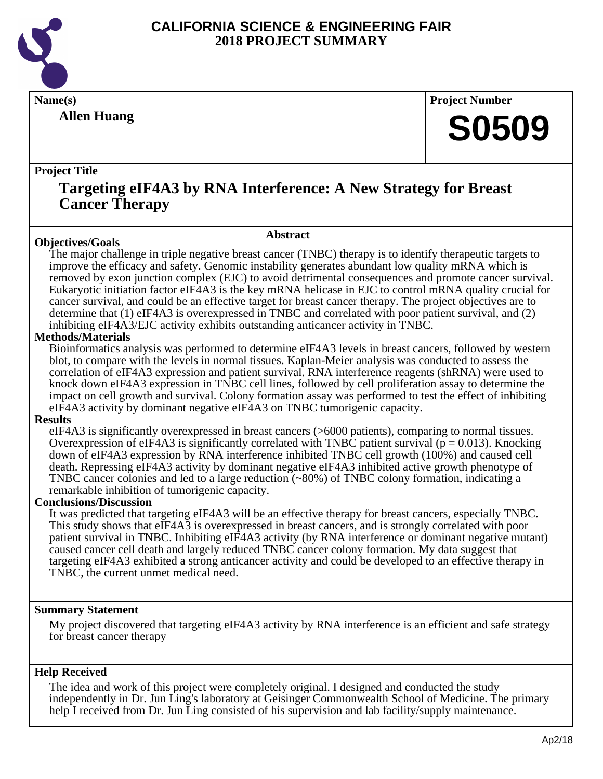

**Allen Huang**

**Name(s) Project Number**

## **S0509**

#### **Project Title**

### **Targeting eIF4A3 by RNA Interference: A New Strategy for Breast Cancer Therapy**

#### **Objectives/Goals**

**Abstract**

The major challenge in triple negative breast cancer (TNBC) therapy is to identify therapeutic targets to improve the efficacy and safety. Genomic instability generates abundant low quality mRNA which is removed by exon junction complex (EJC) to avoid detrimental consequences and promote cancer survival. Eukaryotic initiation factor eIF4A3 is the key mRNA helicase in EJC to control mRNA quality crucial for cancer survival, and could be an effective target for breast cancer therapy. The project objectives are to determine that (1) eIF4A3 is overexpressed in TNBC and correlated with poor patient survival, and (2) inhibiting eIF4A3/EJC activity exhibits outstanding anticancer activity in TNBC.

#### **Methods/Materials**

Bioinformatics analysis was performed to determine eIF4A3 levels in breast cancers, followed by western blot, to compare with the levels in normal tissues. Kaplan-Meier analysis was conducted to assess the correlation of eIF4A3 expression and patient survival. RNA interference reagents (shRNA) were used to knock down eIF4A3 expression in TNBC cell lines, followed by cell proliferation assay to determine the impact on cell growth and survival. Colony formation assay was performed to test the effect of inhibiting eIF4A3 activity by dominant negative eIF4A3 on TNBC tumorigenic capacity.

#### **Results**

eIF4A3 is significantly overexpressed in breast cancers (>6000 patients), comparing to normal tissues. Overexpression of eIF4A3 is significantly correlated with TNBC patient survival ( $p = 0.013$ ). Knocking down of eIF4A3 expression by RNA interference inhibited TNBC cell growth (100%) and caused cell death. Repressing eIF4A3 activity by dominant negative eIF4A3 inhibited active growth phenotype of TNBC cancer colonies and led to a large reduction (~80%) of TNBC colony formation, indicating a remarkable inhibition of tumorigenic capacity.

#### **Conclusions/Discussion**

It was predicted that targeting eIF4A3 will be an effective therapy for breast cancers, especially TNBC. This study shows that eIF4A3 is overexpressed in breast cancers, and is strongly correlated with poor patient survival in TNBC. Inhibiting eIF4A3 activity (by RNA interference or dominant negative mutant) caused cancer cell death and largely reduced TNBC cancer colony formation. My data suggest that targeting eIF4A3 exhibited a strong anticancer activity and could be developed to an effective therapy in TNBC, the current unmet medical need.

#### **Summary Statement**

My project discovered that targeting eIF4A3 activity by RNA interference is an efficient and safe strategy for breast cancer therapy

#### **Help Received**

The idea and work of this project were completely original. I designed and conducted the study independently in Dr. Jun Ling's laboratory at Geisinger Commonwealth School of Medicine. The primary help I received from Dr. Jun Ling consisted of his supervision and lab facility/supply maintenance.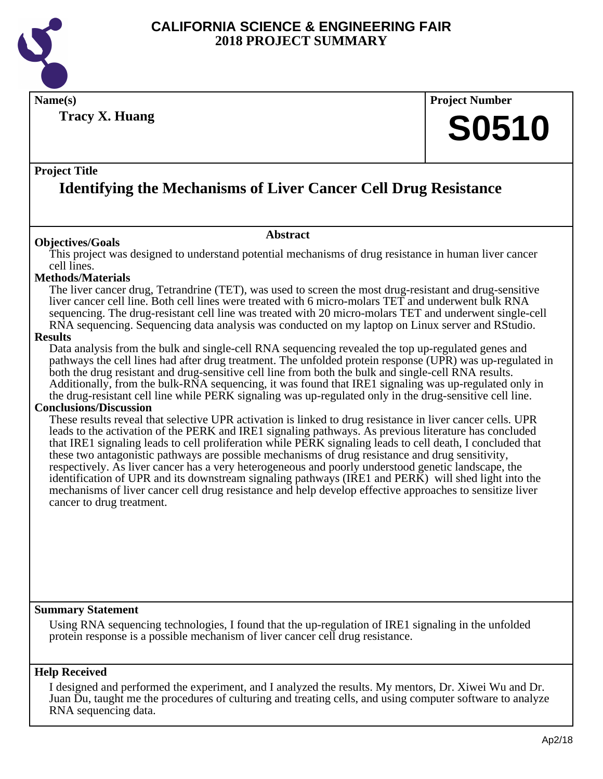

**Name(s) Project Number Tracy X. Huang**

# **S0510**

#### **Project Title**

## **Identifying the Mechanisms of Liver Cancer Cell Drug Resistance**

#### **Abstract**

**Objectives/Goals** This project was designed to understand potential mechanisms of drug resistance in human liver cancer cell lines.

#### **Methods/Materials**

The liver cancer drug, Tetrandrine (TET), was used to screen the most drug-resistant and drug-sensitive liver cancer cell line. Both cell lines were treated with 6 micro-molars TET and underwent bulk RNA sequencing. The drug-resistant cell line was treated with 20 micro-molars TET and underwent single-cell RNA sequencing. Sequencing data analysis was conducted on my laptop on Linux server and RStudio.

#### **Results**

Data analysis from the bulk and single-cell RNA sequencing revealed the top up-regulated genes and pathways the cell lines had after drug treatment. The unfolded protein response (UPR) was up-regulated in both the drug resistant and drug-sensitive cell line from both the bulk and single-cell RNA results. Additionally, from the bulk-RNA sequencing, it was found that IRE1 signaling was up-regulated only in the drug-resistant cell line while PERK signaling was up-regulated only in the drug-sensitive cell line.

#### **Conclusions/Discussion**

These results reveal that selective UPR activation is linked to drug resistance in liver cancer cells. UPR leads to the activation of the PERK and IRE1 signaling pathways. As previous literature has concluded that IRE1 signaling leads to cell proliferation while PERK signaling leads to cell death, I concluded that these two antagonistic pathways are possible mechanisms of drug resistance and drug sensitivity, respectively. As liver cancer has a very heterogeneous and poorly understood genetic landscape, the identification of UPR and its downstream signaling pathways (IRE1 and PERK) will shed light into the mechanisms of liver cancer cell drug resistance and help develop effective approaches to sensitize liver cancer to drug treatment.

#### **Summary Statement**

Using RNA sequencing technologies, I found that the up-regulation of IRE1 signaling in the unfolded protein response is a possible mechanism of liver cancer cell drug resistance.

#### **Help Received**

I designed and performed the experiment, and I analyzed the results. My mentors, Dr. Xiwei Wu and Dr. Juan Du, taught me the procedures of culturing and treating cells, and using computer software to analyze RNA sequencing data.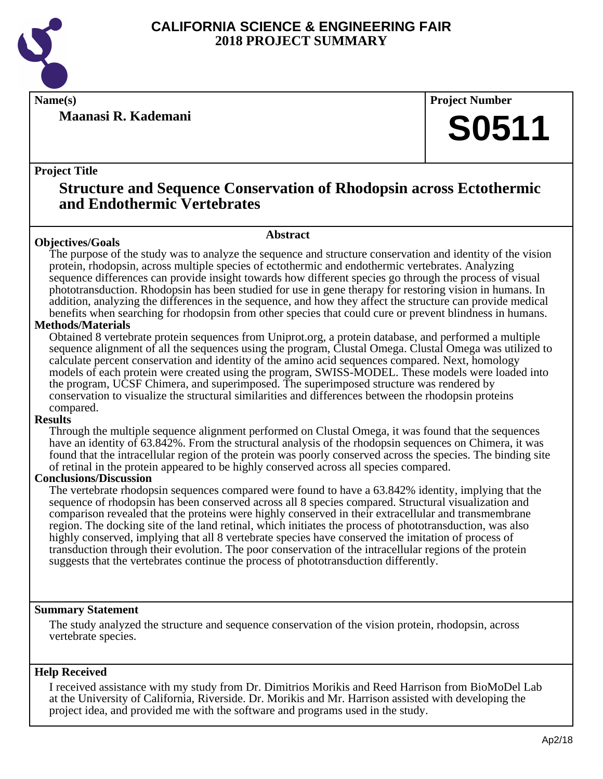

**Maanasi R. Kademani**

**Name(s) Project Number**

## **S0511**

#### **Project Title**

### **Structure and Sequence Conservation of Rhodopsin across Ectothermic and Endothermic Vertebrates**

#### **Abstract**

**Objectives/Goals** The purpose of the study was to analyze the sequence and structure conservation and identity of the vision protein, rhodopsin, across multiple species of ectothermic and endothermic vertebrates. Analyzing sequence differences can provide insight towards how different species go through the process of visual phototransduction. Rhodopsin has been studied for use in gene therapy for restoring vision in humans. In addition, analyzing the differences in the sequence, and how they affect the structure can provide medical benefits when searching for rhodopsin from other species that could cure or prevent blindness in humans.

#### **Methods/Materials**

Obtained 8 vertebrate protein sequences from Uniprot.org, a protein database, and performed a multiple sequence alignment of all the sequences using the program, Clustal Omega. Clustal Omega was utilized to calculate percent conservation and identity of the amino acid sequences compared. Next, homology models of each protein were created using the program, SWISS-MODEL. These models were loaded into the program, UCSF Chimera, and superimposed. The superimposed structure was rendered by conservation to visualize the structural similarities and differences between the rhodopsin proteins compared.

#### **Results**

Through the multiple sequence alignment performed on Clustal Omega, it was found that the sequences have an identity of 63.842%. From the structural analysis of the rhodopsin sequences on Chimera, it was found that the intracellular region of the protein was poorly conserved across the species. The binding site of retinal in the protein appeared to be highly conserved across all species compared.

#### **Conclusions/Discussion**

The vertebrate rhodopsin sequences compared were found to have a 63.842% identity, implying that the sequence of rhodopsin has been conserved across all 8 species compared. Structural visualization and comparison revealed that the proteins were highly conserved in their extracellular and transmembrane region. The docking site of the land retinal, which initiates the process of phototransduction, was also highly conserved, implying that all 8 vertebrate species have conserved the imitation of process of transduction through their evolution. The poor conservation of the intracellular regions of the protein suggests that the vertebrates continue the process of phototransduction differently.

#### **Summary Statement**

The study analyzed the structure and sequence conservation of the vision protein, rhodopsin, across vertebrate species.

#### **Help Received**

I received assistance with my study from Dr. Dimitrios Morikis and Reed Harrison from BioMoDel Lab at the University of California, Riverside. Dr. Morikis and Mr. Harrison assisted with developing the project idea, and provided me with the software and programs used in the study.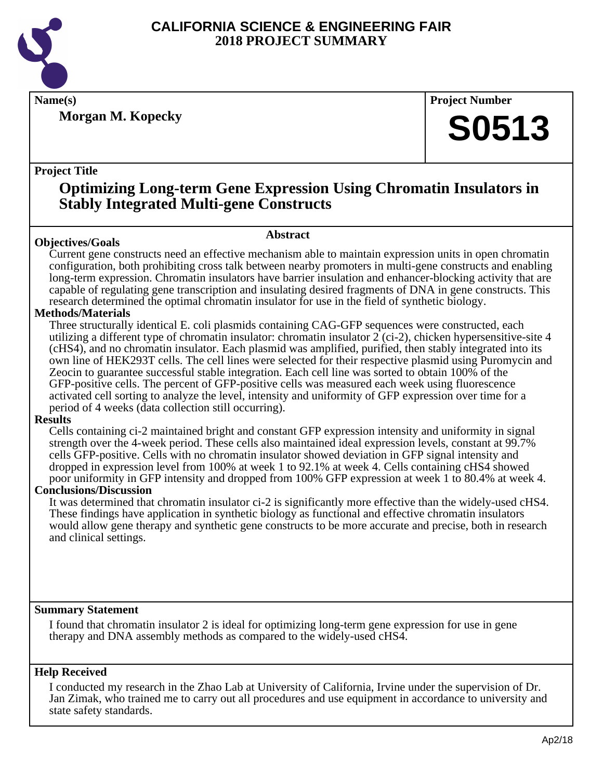

**Morgan M. Kopecky**

**Name(s) Project Number**

## **S0513**

#### **Project Title**

## **Optimizing Long-term Gene Expression Using Chromatin Insulators in Stably Integrated Multi-gene Constructs**

### **Abstract**

**Objectives/Goals** Current gene constructs need an effective mechanism able to maintain expression units in open chromatin configuration, both prohibiting cross talk between nearby promoters in multi-gene constructs and enabling long-term expression. Chromatin insulators have barrier insulation and enhancer-blocking activity that are capable of regulating gene transcription and insulating desired fragments of DNA in gene constructs. This research determined the optimal chromatin insulator for use in the field of synthetic biology.

#### **Methods/Materials**

Three structurally identical E. coli plasmids containing CAG-GFP sequences were constructed, each utilizing a different type of chromatin insulator: chromatin insulator 2 (ci-2), chicken hypersensitive-site 4 (cHS4), and no chromatin insulator. Each plasmid was amplified, purified, then stably integrated into its own line of HEK293T cells. The cell lines were selected for their respective plasmid using Puromycin and Zeocin to guarantee successful stable integration. Each cell line was sorted to obtain 100% of the GFP-positive cells. The percent of GFP-positive cells was measured each week using fluorescence activated cell sorting to analyze the level, intensity and uniformity of GFP expression over time for a period of 4 weeks (data collection still occurring).

#### **Results**

Cells containing ci-2 maintained bright and constant GFP expression intensity and uniformity in signal strength over the 4-week period. These cells also maintained ideal expression levels, constant at 99.7% cells GFP-positive. Cells with no chromatin insulator showed deviation in GFP signal intensity and dropped in expression level from 100% at week 1 to 92.1% at week 4. Cells containing cHS4 showed poor uniformity in GFP intensity and dropped from 100% GFP expression at week 1 to 80.4% at week 4.

#### **Conclusions/Discussion**

It was determined that chromatin insulator ci-2 is significantly more effective than the widely-used cHS4. These findings have application in synthetic biology as functional and effective chromatin insulators would allow gene therapy and synthetic gene constructs to be more accurate and precise, both in research and clinical settings.

#### **Summary Statement**

I found that chromatin insulator 2 is ideal for optimizing long-term gene expression for use in gene therapy and DNA assembly methods as compared to the widely-used cHS4.

#### **Help Received**

I conducted my research in the Zhao Lab at University of California, Irvine under the supervision of Dr. Jan Zimak, who trained me to carry out all procedures and use equipment in accordance to university and state safety standards.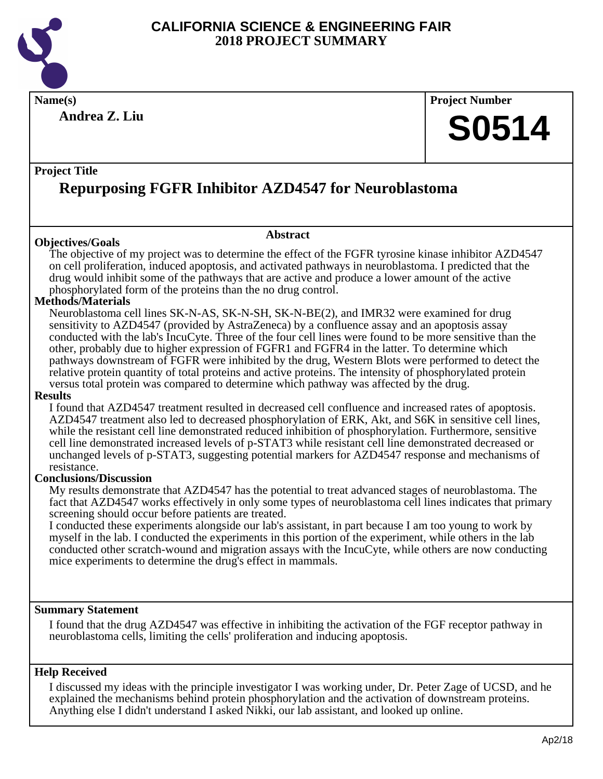

**Name(s) Project Number**

**Andrea Z. Liu**

#### **Project Title**

## **Repurposing FGFR Inhibitor AZD4547 for Neuroblastoma**

#### **Objectives/Goals**

The objective of my project was to determine the effect of the FGFR tyrosine kinase inhibitor AZD4547 on cell proliferation, induced apoptosis, and activated pathways in neuroblastoma. I predicted that the drug would inhibit some of the pathways that are active and produce a lower amount of the active phosphorylated form of the proteins than the no drug control.

**Abstract**

#### **Methods/Materials**

Neuroblastoma cell lines SK-N-AS, SK-N-SH, SK-N-BE(2), and IMR32 were examined for drug sensitivity to AZD4547 (provided by AstraZeneca) by a confluence assay and an apoptosis assay conducted with the lab's IncuCyte. Three of the four cell lines were found to be more sensitive than the other, probably due to higher expression of FGFR1 and FGFR4 in the latter. To determine which pathways downstream of FGFR were inhibited by the drug, Western Blots were performed to detect the relative protein quantity of total proteins and active proteins. The intensity of phosphorylated protein versus total protein was compared to determine which pathway was affected by the drug.

#### **Results**

I found that AZD4547 treatment resulted in decreased cell confluence and increased rates of apoptosis. AZD4547 treatment also led to decreased phosphorylation of ERK, Akt, and S6K in sensitive cell lines, while the resistant cell line demonstrated reduced inhibition of phosphorylation. Furthermore, sensitive cell line demonstrated increased levels of p-STAT3 while resistant cell line demonstrated decreased or unchanged levels of p-STAT3, suggesting potential markers for AZD4547 response and mechanisms of resistance.

#### **Conclusions/Discussion**

My results demonstrate that AZD4547 has the potential to treat advanced stages of neuroblastoma. The fact that AZD4547 works effectively in only some types of neuroblastoma cell lines indicates that primary screening should occur before patients are treated.

I conducted these experiments alongside our lab's assistant, in part because I am too young to work by myself in the lab. I conducted the experiments in this portion of the experiment, while others in the lab conducted other scratch-wound and migration assays with the IncuCyte, while others are now conducting mice experiments to determine the drug's effect in mammals.

#### **Summary Statement**

I found that the drug AZD4547 was effective in inhibiting the activation of the FGF receptor pathway in neuroblastoma cells, limiting the cells' proliferation and inducing apoptosis.

#### **Help Received**

I discussed my ideas with the principle investigator I was working under, Dr. Peter Zage of UCSD, and he explained the mechanisms behind protein phosphorylation and the activation of downstream proteins. Anything else I didn't understand I asked Nikki, our lab assistant, and looked up online.

**S0514**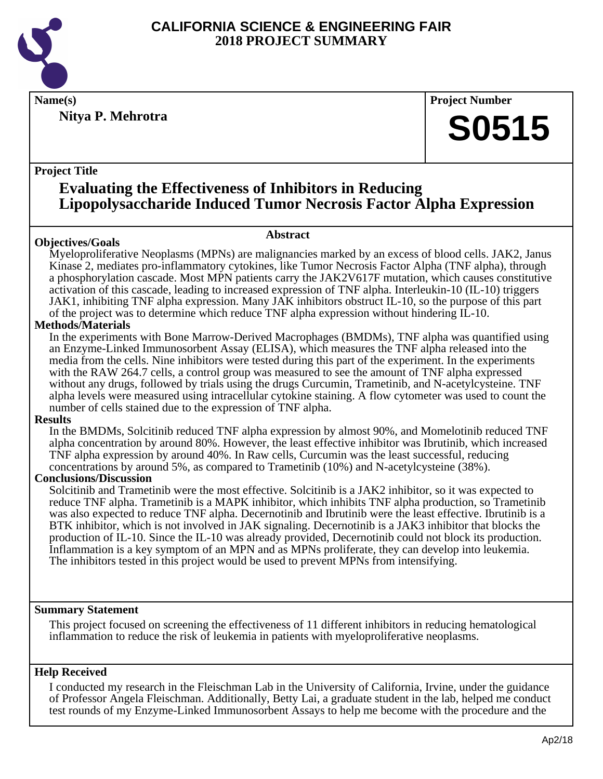

**Nitya P. Mehrotra**

**Name(s) Project Number**

## **S0515**

#### **Project Title**

### **Evaluating the Effectiveness of Inhibitors in Reducing Lipopolysaccharide Induced Tumor Necrosis Factor Alpha Expression**

#### **Abstract**

**Objectives/Goals** Myeloproliferative Neoplasms (MPNs) are malignancies marked by an excess of blood cells. JAK2, Janus Kinase 2, mediates pro-inflammatory cytokines, like Tumor Necrosis Factor Alpha (TNF alpha), through a phosphorylation cascade. Most MPN patients carry the JAK2V617F mutation, which causes constitutive activation of this cascade, leading to increased expression of TNF alpha. Interleukin-10 (IL-10) triggers JAK1, inhibiting TNF alpha expression. Many JAK inhibitors obstruct IL-10, so the purpose of this part of the project was to determine which reduce TNF alpha expression without hindering IL-10.

#### **Methods/Materials**

In the experiments with Bone Marrow-Derived Macrophages (BMDMs), TNF alpha was quantified using an Enzyme-Linked Immunosorbent Assay (ELISA), which measures the TNF alpha released into the media from the cells. Nine inhibitors were tested during this part of the experiment. In the experiments with the RAW 264.7 cells, a control group was measured to see the amount of TNF alpha expressed without any drugs, followed by trials using the drugs Curcumin, Trametinib, and N-acetylcysteine. TNF alpha levels were measured using intracellular cytokine staining. A flow cytometer was used to count the number of cells stained due to the expression of TNF alpha.

#### **Results**

In the BMDMs, Solcitinib reduced TNF alpha expression by almost 90%, and Momelotinib reduced TNF alpha concentration by around 80%. However, the least effective inhibitor was Ibrutinib, which increased TNF alpha expression by around 40%. In Raw cells, Curcumin was the least successful, reducing concentrations by around 5%, as compared to Trametinib (10%) and N-acetylcysteine (38%).

#### **Conclusions/Discussion**

Solcitinib and Trametinib were the most effective. Solcitinib is a JAK2 inhibitor, so it was expected to reduce TNF alpha. Trametinib is a MAPK inhibitor, which inhibits TNF alpha production, so Trametinib was also expected to reduce TNF alpha. Decernotinib and Ibrutinib were the least effective. Ibrutinib is a BTK inhibitor, which is not involved in JAK signaling. Decernotinib is a JAK3 inhibitor that blocks the production of IL-10. Since the IL-10 was already provided, Decernotinib could not block its production. Inflammation is a key symptom of an MPN and as MPNs proliferate, they can develop into leukemia. The inhibitors tested in this project would be used to prevent MPNs from intensifying.

#### **Summary Statement**

This project focused on screening the effectiveness of 11 different inhibitors in reducing hematological inflammation to reduce the risk of leukemia in patients with myeloproliferative neoplasms.

#### **Help Received**

I conducted my research in the Fleischman Lab in the University of California, Irvine, under the guidance of Professor Angela Fleischman. Additionally, Betty Lai, a graduate student in the lab, helped me conduct test rounds of my Enzyme-Linked Immunosorbent Assays to help me become with the procedure and the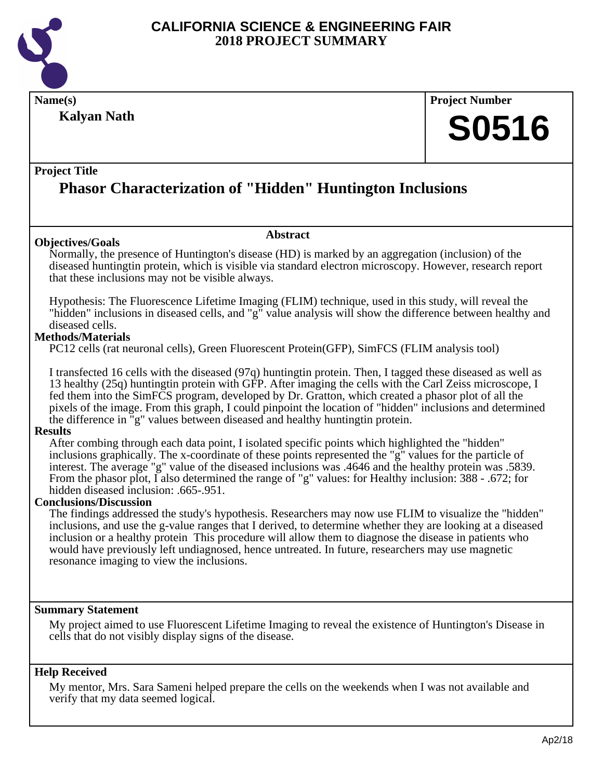

## **Name(s) Project Number**

**Kalyan Nath**

## **S0516**

#### **Project Title**

## **Phasor Characterization of "Hidden" Huntington Inclusions**

#### **Objectives/Goals**

Normally, the presence of Huntington's disease (HD) is marked by an aggregation (inclusion) of the diseased huntingtin protein, which is visible via standard electron microscopy. However, research report that these inclusions may not be visible always.

**Abstract**

Hypothesis: The Fluorescence Lifetime Imaging (FLIM) technique, used in this study, will reveal the "hidden" inclusions in diseased cells, and "g" value analysis will show the difference between healthy and diseased cells.

#### **Methods/Materials**

PC12 cells (rat neuronal cells), Green Fluorescent Protein(GFP), SimFCS (FLIM analysis tool)

I transfected 16 cells with the diseased (97q) huntingtin protein. Then, I tagged these diseased as well as 13 healthy (25q) huntingtin protein with GFP. After imaging the cells with the Carl Zeiss microscope, I fed them into the SimFCS program, developed by Dr. Gratton, which created a phasor plot of all the pixels of the image. From this graph, I could pinpoint the location of "hidden" inclusions and determined the difference in "g" values between diseased and healthy huntingtin protein.

#### **Results**

After combing through each data point, I isolated specific points which highlighted the "hidden" inclusions graphically. The x-coordinate of these points represented the "g" values for the particle of interest. The average "g" value of the diseased inclusions was .4646 and the healthy protein was .5839. From the phasor plot, I also determined the range of "g" values: for Healthy inclusion: 388 - .672; for hidden diseased inclusion: .665-.951.

#### **Conclusions/Discussion**

The findings addressed the study's hypothesis. Researchers may now use FLIM to visualize the "hidden" inclusions, and use the g-value ranges that I derived, to determine whether they are looking at a diseased inclusion or a healthy protein This procedure will allow them to diagnose the disease in patients who would have previously left undiagnosed, hence untreated. In future, researchers may use magnetic resonance imaging to view the inclusions.

#### **Summary Statement**

My project aimed to use Fluorescent Lifetime Imaging to reveal the existence of Huntington's Disease in cells that do not visibly display signs of the disease.

#### **Help Received**

My mentor, Mrs. Sara Sameni helped prepare the cells on the weekends when I was not available and verify that my data seemed logical.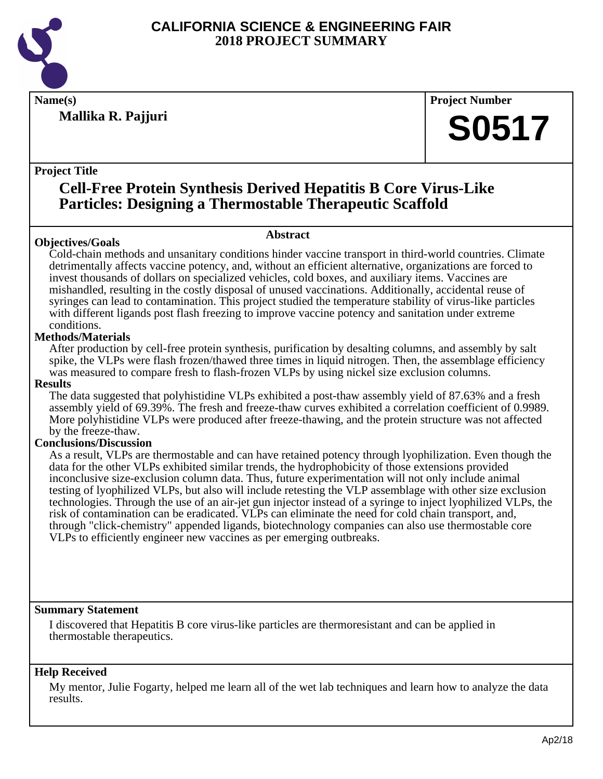

**Mallika R. Pajjuri**

**Name(s) Project Number**

## **S0517**

#### **Project Title**

## **Cell-Free Protein Synthesis Derived Hepatitis B Core Virus-Like Particles: Designing a Thermostable Therapeutic Scaffold**

#### **Objectives/Goals**

#### **Abstract**

Cold-chain methods and unsanitary conditions hinder vaccine transport in third-world countries. Climate detrimentally affects vaccine potency, and, without an efficient alternative, organizations are forced to invest thousands of dollars on specialized vehicles, cold boxes, and auxiliary items. Vaccines are mishandled, resulting in the costly disposal of unused vaccinations. Additionally, accidental reuse of syringes can lead to contamination. This project studied the temperature stability of virus-like particles with different ligands post flash freezing to improve vaccine potency and sanitation under extreme conditions.

#### **Methods/Materials**

After production by cell-free protein synthesis, purification by desalting columns, and assembly by salt spike, the VLPs were flash frozen/thawed three times in liquid nitrogen. Then, the assemblage efficiency was measured to compare fresh to flash-frozen VLPs by using nickel size exclusion columns.

#### **Results**

The data suggested that polyhistidine VLPs exhibited a post-thaw assembly yield of 87.63% and a fresh assembly yield of 69.39%. The fresh and freeze-thaw curves exhibited a correlation coefficient of 0.9989. More polyhistidine VLPs were produced after freeze-thawing, and the protein structure was not affected by the freeze-thaw.

#### **Conclusions/Discussion**

As a result, VLPs are thermostable and can have retained potency through lyophilization. Even though the data for the other VLPs exhibited similar trends, the hydrophobicity of those extensions provided inconclusive size-exclusion column data. Thus, future experimentation will not only include animal testing of lyophilized VLPs, but also will include retesting the VLP assemblage with other size exclusion technologies. Through the use of an air-jet gun injector instead of a syringe to inject lyophilized VLPs, the risk of contamination can be eradicated. VLPs can eliminate the need for cold chain transport, and, through "click-chemistry" appended ligands, biotechnology companies can also use thermostable core VLPs to efficiently engineer new vaccines as per emerging outbreaks.

#### **Summary Statement**

I discovered that Hepatitis B core virus-like particles are thermoresistant and can be applied in thermostable therapeutics.

#### **Help Received**

My mentor, Julie Fogarty, helped me learn all of the wet lab techniques and learn how to analyze the data results.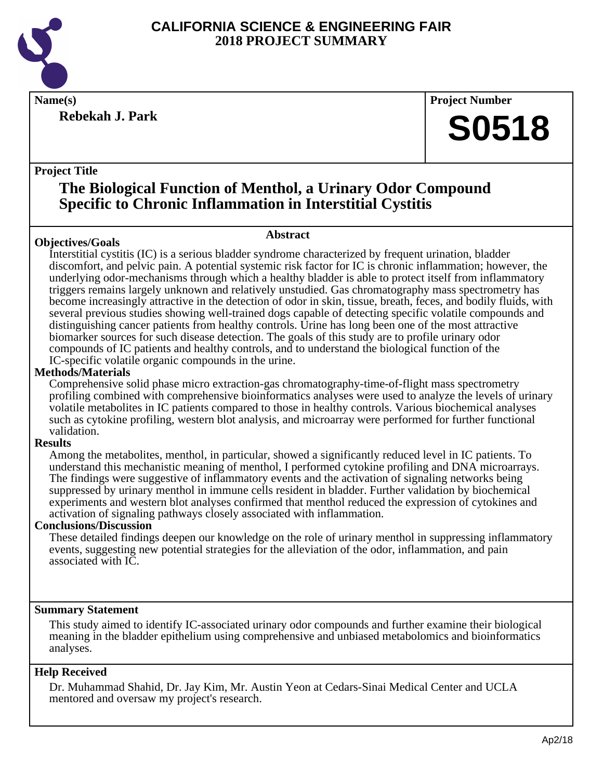

**Rebekah J. Park**

**Name(s) Project Number**

## **S0518**

#### **Project Title**

## **The Biological Function of Menthol, a Urinary Odor Compound Specific to Chronic Inflammation in Interstitial Cystitis**

#### **Abstract**

**Objectives/Goals** Interstitial cystitis (IC) is a serious bladder syndrome characterized by frequent urination, bladder discomfort, and pelvic pain. A potential systemic risk factor for IC is chronic inflammation; however, the underlying odor-mechanisms through which a healthy bladder is able to protect itself from inflammatory triggers remains largely unknown and relatively unstudied. Gas chromatography mass spectrometry has become increasingly attractive in the detection of odor in skin, tissue, breath, feces, and bodily fluids, with several previous studies showing well-trained dogs capable of detecting specific volatile compounds and distinguishing cancer patients from healthy controls. Urine has long been one of the most attractive biomarker sources for such disease detection. The goals of this study are to profile urinary odor compounds of IC patients and healthy controls, and to understand the biological function of the IC-specific volatile organic compounds in the urine.

#### **Methods/Materials**

Comprehensive solid phase micro extraction-gas chromatography-time-of-flight mass spectrometry profiling combined with comprehensive bioinformatics analyses were used to analyze the levels of urinary volatile metabolites in IC patients compared to those in healthy controls. Various biochemical analyses such as cytokine profiling, western blot analysis, and microarray were performed for further functional validation.

#### **Results**

Among the metabolites, menthol, in particular, showed a significantly reduced level in IC patients. To understand this mechanistic meaning of menthol, I performed cytokine profiling and DNA microarrays. The findings were suggestive of inflammatory events and the activation of signaling networks being suppressed by urinary menthol in immune cells resident in bladder. Further validation by biochemical experiments and western blot analyses confirmed that menthol reduced the expression of cytokines and activation of signaling pathways closely associated with inflammation.

#### **Conclusions/Discussion**

These detailed findings deepen our knowledge on the role of urinary menthol in suppressing inflammatory events, suggesting new potential strategies for the alleviation of the odor, inflammation, and pain associated with IC.

#### **Summary Statement**

This study aimed to identify IC-associated urinary odor compounds and further examine their biological meaning in the bladder epithelium using comprehensive and unbiased metabolomics and bioinformatics analyses.

#### **Help Received**

Dr. Muhammad Shahid, Dr. Jay Kim, Mr. Austin Yeon at Cedars-Sinai Medical Center and UCLA mentored and oversaw my project's research.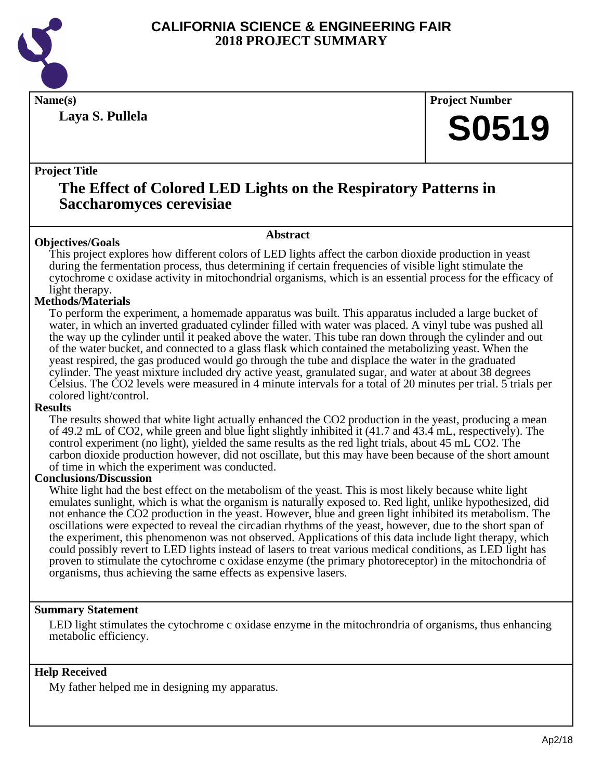

**Laya S. Pullela**

**Name(s) Project Number**

## **S0519**

#### **Project Title**

### **The Effect of Colored LED Lights on the Respiratory Patterns in Saccharomyces cerevisiae**

#### **Abstract**

**Objectives/Goals** This project explores how different colors of LED lights affect the carbon dioxide production in yeast during the fermentation process, thus determining if certain frequencies of visible light stimulate the cytochrome c oxidase activity in mitochondrial organisms, which is an essential process for the efficacy of light therapy.

#### **Methods/Materials**

To perform the experiment, a homemade apparatus was built. This apparatus included a large bucket of water, in which an inverted graduated cylinder filled with water was placed. A vinyl tube was pushed all the way up the cylinder until it peaked above the water. This tube ran down through the cylinder and out of the water bucket, and connected to a glass flask which contained the metabolizing yeast. When the yeast respired, the gas produced would go through the tube and displace the water in the graduated cylinder. The yeast mixture included dry active yeast, granulated sugar, and water at about 38 degrees Celsius. The CO2 levels were measured in 4 minute intervals for a total of 20 minutes per trial. 5 trials per colored light/control.

#### **Results**

The results showed that white light actually enhanced the CO2 production in the yeast, producing a mean of 49.2 mL of CO2, while green and blue light slightly inhibited it (41.7 and 43.4 mL, respectively). The control experiment (no light), yielded the same results as the red light trials, about 45 mL CO2. The carbon dioxide production however, did not oscillate, but this may have been because of the short amount of time in which the experiment was conducted.

#### **Conclusions/Discussion**

White light had the best effect on the metabolism of the yeast. This is most likely because white light emulates sunlight, which is what the organism is naturally exposed to. Red light, unlike hypothesized, did not enhance the CO2 production in the yeast. However, blue and green light inhibited its metabolism. The oscillations were expected to reveal the circadian rhythms of the yeast, however, due to the short span of the experiment, this phenomenon was not observed. Applications of this data include light therapy, which could possibly revert to LED lights instead of lasers to treat various medical conditions, as LED light has proven to stimulate the cytochrome c oxidase enzyme (the primary photoreceptor) in the mitochondria of organisms, thus achieving the same effects as expensive lasers.

#### **Summary Statement**

LED light stimulates the cytochrome c oxidase enzyme in the mitochrondria of organisms, thus enhancing metabolic efficiency.

#### **Help Received**

My father helped me in designing my apparatus.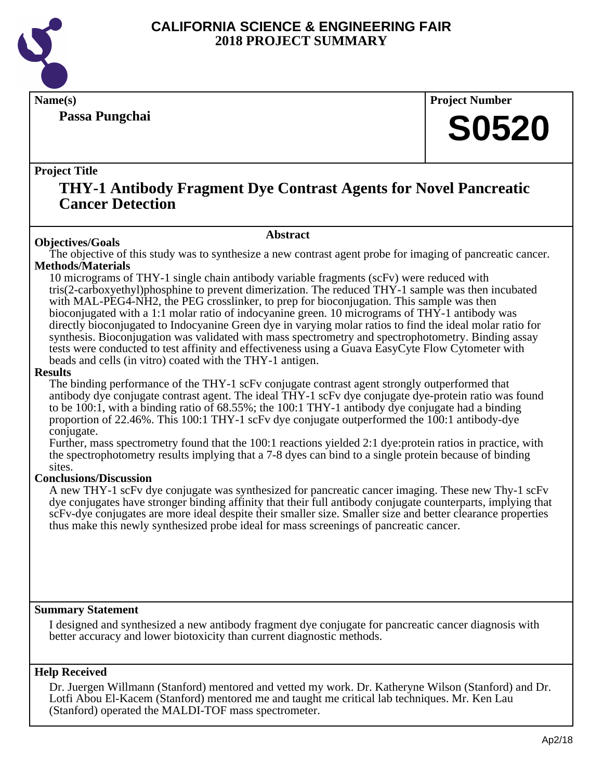

**Passa Pungchai**

**Name(s) Project Number**

## **S0520**

#### **Project Title**

### **THY-1 Antibody Fragment Dye Contrast Agents for Novel Pancreatic Cancer Detection**

#### **Abstract**

**Objectives/Goals** The objective of this study was to synthesize a new contrast agent probe for imaging of pancreatic cancer. **Methods/Materials**

10 micrograms of THY-1 single chain antibody variable fragments (scFv) were reduced with tris(2-carboxyethyl)phosphine to prevent dimerization. The reduced THY-1 sample was then incubated with MAL-PEG4-NH2, the PEG crosslinker, to prep for bioconjugation. This sample was then bioconjugated with a 1:1 molar ratio of indocyanine green. 10 micrograms of THY-1 antibody was directly bioconjugated to Indocyanine Green dye in varying molar ratios to find the ideal molar ratio for synthesis. Bioconjugation was validated with mass spectrometry and spectrophotometry. Binding assay tests were conducted to test affinity and effectiveness using a Guava EasyCyte Flow Cytometer with beads and cells (in vitro) coated with the THY-1 antigen.

#### **Results**

The binding performance of the THY-1 scFv conjugate contrast agent strongly outperformed that antibody dye conjugate contrast agent. The ideal THY-1 scFv dye conjugate dye-protein ratio was found to be 100:1, with a binding ratio of 68.55%; the 100:1 THY-1 antibody dye conjugate had a binding proportion of 22.46%. This 100:1 THY-1 scFv dye conjugate outperformed the 100:1 antibody-dye conjugate.

Further, mass spectrometry found that the 100:1 reactions yielded 2:1 dye:protein ratios in practice, with the spectrophotometry results implying that a 7-8 dyes can bind to a single protein because of binding sites.

#### **Conclusions/Discussion**

A new THY-1 scFv dye conjugate was synthesized for pancreatic cancer imaging. These new Thy-1 scFv dye conjugates have stronger binding affinity that their full antibody conjugate counterparts, implying that scFv-dye conjugates are more ideal despite their smaller size. Smaller size and better clearance properties thus make this newly synthesized probe ideal for mass screenings of pancreatic cancer.

#### **Summary Statement**

I designed and synthesized a new antibody fragment dye conjugate for pancreatic cancer diagnosis with better accuracy and lower biotoxicity than current diagnostic methods.

#### **Help Received**

Dr. Juergen Willmann (Stanford) mentored and vetted my work. Dr. Katheryne Wilson (Stanford) and Dr. Lotfi Abou El-Kacem (Stanford) mentored me and taught me critical lab techniques. Mr. Ken Lau (Stanford) operated the MALDI-TOF mass spectrometer.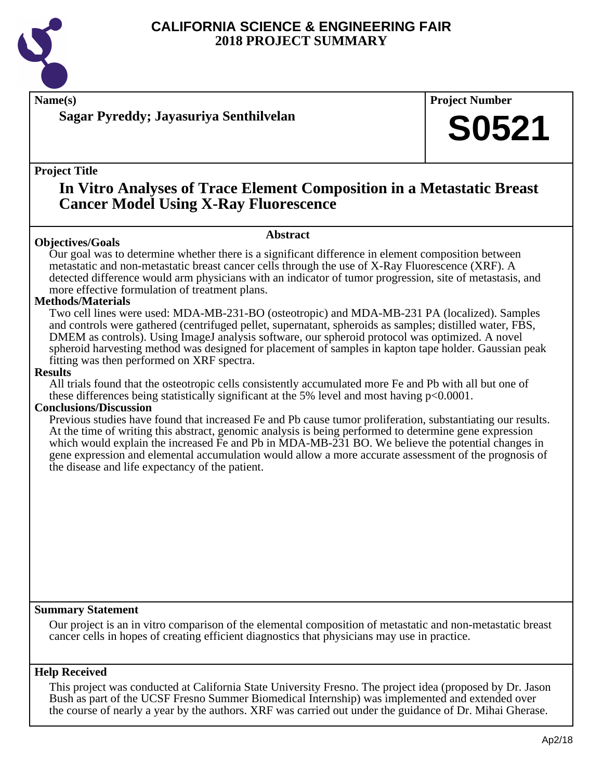

**Name(s) Project Number**

**Sagar Pyreddy; Jayasuriya Senthilvelan**

#### **Project Title**

### **In Vitro Analyses of Trace Element Composition in a Metastatic Breast Cancer Model Using X-Ray Fluorescence**

#### **Objectives/Goals**

**Abstract**

Our goal was to determine whether there is a significant difference in element composition between metastatic and non-metastatic breast cancer cells through the use of X-Ray Fluorescence (XRF). A detected difference would arm physicians with an indicator of tumor progression, site of metastasis, and more effective formulation of treatment plans.

#### **Methods/Materials**

Two cell lines were used: MDA-MB-231-BO (osteotropic) and MDA-MB-231 PA (localized). Samples and controls were gathered (centrifuged pellet, supernatant, spheroids as samples; distilled water, FBS, DMEM as controls). Using ImageJ analysis software, our spheroid protocol was optimized. A novel spheroid harvesting method was designed for placement of samples in kapton tape holder. Gaussian peak fitting was then performed on XRF spectra.

#### **Results**

All trials found that the osteotropic cells consistently accumulated more Fe and Pb with all but one of these differences being statistically significant at the 5% level and most having  $p<0.0001$ .

#### **Conclusions/Discussion**

Previous studies have found that increased Fe and Pb cause tumor proliferation, substantiating our results. At the time of writing this abstract, genomic analysis is being performed to determine gene expression which would explain the increased Fe and Pb in MDA-MB-231 BO. We believe the potential changes in gene expression and elemental accumulation would allow a more accurate assessment of the prognosis of the disease and life expectancy of the patient.

#### **Summary Statement**

Our project is an in vitro comparison of the elemental composition of metastatic and non-metastatic breast cancer cells in hopes of creating efficient diagnostics that physicians may use in practice.

#### **Help Received**

This project was conducted at California State University Fresno. The project idea (proposed by Dr. Jason Bush as part of the UCSF Fresno Summer Biomedical Internship) was implemented and extended over the course of nearly a year by the authors. XRF was carried out under the guidance of Dr. Mihai Gherase.

**S0521**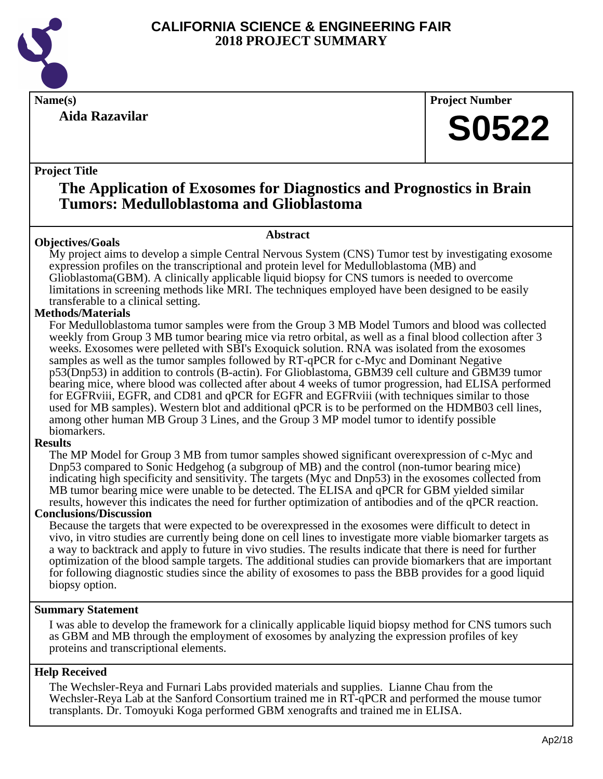

**Aida Razavilar**

**Name(s) Project Number**

## **S0522**

#### **Project Title**

### **The Application of Exosomes for Diagnostics and Prognostics in Brain Tumors: Medulloblastoma and Glioblastoma**

#### **Abstract**

**Objectives/Goals** My project aims to develop a simple Central Nervous System (CNS) Tumor test by investigating exosome expression profiles on the transcriptional and protein level for Medulloblastoma (MB) and Glioblastoma(GBM). A clinically applicable liquid biopsy for CNS tumors is needed to overcome limitations in screening methods like MRI. The techniques employed have been designed to be easily transferable to a clinical setting.

#### **Methods/Materials**

For Medulloblastoma tumor samples were from the Group 3 MB Model Tumors and blood was collected weekly from Group 3 MB tumor bearing mice via retro orbital, as well as a final blood collection after 3 weeks. Exosomes were pelleted with SBI's Exoquick solution. RNA was isolated from the exosomes samples as well as the tumor samples followed by RT-qPCR for c-Myc and Dominant Negative p53(Dnp53) in addition to controls (B-actin). For Glioblastoma, GBM39 cell culture and GBM39 tumor bearing mice, where blood was collected after about 4 weeks of tumor progression, had ELISA performed for EGFRviii, EGFR, and CD81 and qPCR for EGFR and EGFRviii (with techniques similar to those used for MB samples). Western blot and additional qPCR is to be performed on the HDMB03 cell lines, among other human MB Group 3 Lines, and the Group 3 MP model tumor to identify possible biomarkers.

#### **Results**

The MP Model for Group 3 MB from tumor samples showed significant overexpression of c-Myc and Dnp53 compared to Sonic Hedgehog (a subgroup of MB) and the control (non-tumor bearing mice) indicating high specificity and sensitivity. The targets (Myc and Dnp53) in the exosomes collected from MB tumor bearing mice were unable to be detected. The ELISA and qPCR for GBM yielded similar results, however this indicates the need for further optimization of antibodies and of the qPCR reaction.

#### **Conclusions/Discussion**

Because the targets that were expected to be overexpressed in the exosomes were difficult to detect in vivo, in vitro studies are currently being done on cell lines to investigate more viable biomarker targets as a way to backtrack and apply to future in vivo studies. The results indicate that there is need for further optimization of the blood sample targets. The additional studies can provide biomarkers that are important for following diagnostic studies since the ability of exosomes to pass the BBB provides for a good liquid biopsy option.

#### **Summary Statement**

I was able to develop the framework for a clinically applicable liquid biopsy method for CNS tumors such as GBM and MB through the employment of exosomes by analyzing the expression profiles of key proteins and transcriptional elements.

#### **Help Received**

The Wechsler-Reya and Furnari Labs provided materials and supplies. Lianne Chau from the Wechsler-Reya Lab at the Sanford Consortium trained me in RT-qPCR and performed the mouse tumor transplants. Dr. Tomoyuki Koga performed GBM xenografts and trained me in ELISA.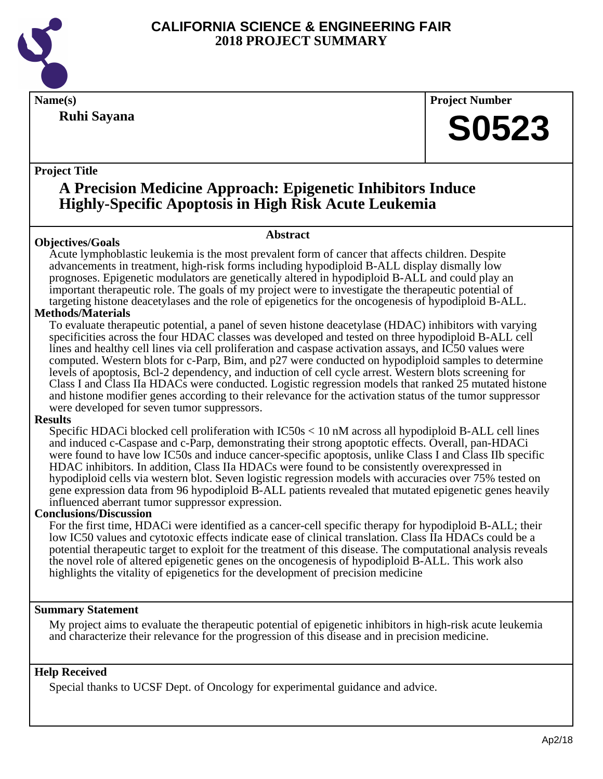

**Ruhi Sayana**

**Name(s) Project Number**

## **S0523**

#### **Project Title**

### **A Precision Medicine Approach: Epigenetic Inhibitors Induce Highly-Specific Apoptosis in High Risk Acute Leukemia**

#### **Objectives/Goals**

#### **Abstract**

Acute lymphoblastic leukemia is the most prevalent form of cancer that affects children. Despite advancements in treatment, high-risk forms including hypodiploid B-ALL display dismally low prognoses. Epigenetic modulators are genetically altered in hypodiploid B-ALL and could play an important therapeutic role. The goals of my project were to investigate the therapeutic potential of targeting histone deacetylases and the role of epigenetics for the oncogenesis of hypodiploid B-ALL.

#### **Methods/Materials**

To evaluate therapeutic potential, a panel of seven histone deacetylase (HDAC) inhibitors with varying specificities across the four HDAC classes was developed and tested on three hypodiploid B-ALL cell lines and healthy cell lines via cell proliferation and caspase activation assays, and IC50 values were computed. Western blots for c-Parp, Bim, and p27 were conducted on hypodiploid samples to determine levels of apoptosis, Bcl-2 dependency, and induction of cell cycle arrest. Western blots screening for Class I and Class IIa HDACs were conducted. Logistic regression models that ranked 25 mutated histone and histone modifier genes according to their relevance for the activation status of the tumor suppressor were developed for seven tumor suppressors.

#### **Results**

Specific HDACi blocked cell proliferation with IC50s < 10 nM across all hypodiploid B-ALL cell lines and induced c-Caspase and c-Parp, demonstrating their strong apoptotic effects. Overall, pan-HDACi were found to have low IC50s and induce cancer-specific apoptosis, unlike Class I and Class IIb specific HDAC inhibitors. In addition, Class IIa HDACs were found to be consistently overexpressed in hypodiploid cells via western blot. Seven logistic regression models with accuracies over 75% tested on gene expression data from 96 hypodiploid B-ALL patients revealed that mutated epigenetic genes heavily influenced aberrant tumor suppressor expression.

#### **Conclusions/Discussion**

For the first time, HDACi were identified as a cancer-cell specific therapy for hypodiploid B-ALL; their low IC50 values and cytotoxic effects indicate ease of clinical translation. Class IIa HDACs could be a potential therapeutic target to exploit for the treatment of this disease. The computational analysis reveals the novel role of altered epigenetic genes on the oncogenesis of hypodiploid B-ALL. This work also highlights the vitality of epigenetics for the development of precision medicine

#### **Summary Statement**

My project aims to evaluate the therapeutic potential of epigenetic inhibitors in high-risk acute leukemia and characterize their relevance for the progression of this disease and in precision medicine.

#### **Help Received**

Special thanks to UCSF Dept. of Oncology for experimental guidance and advice.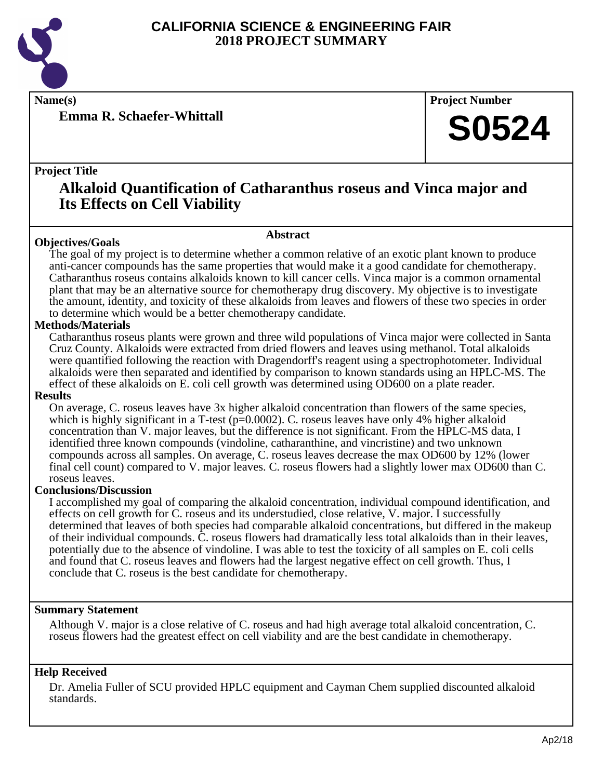

**Emma R. Schaefer-Whittall**

**Name(s) Project Number**

## **S0524**

#### **Project Title**

## **Alkaloid Quantification of Catharanthus roseus and Vinca major and Its Effects on Cell Viability**

#### **Abstract**

**Objectives/Goals** The goal of my project is to determine whether a common relative of an exotic plant known to produce anti-cancer compounds has the same properties that would make it a good candidate for chemotherapy. Catharanthus roseus contains alkaloids known to kill cancer cells. Vinca major is a common ornamental plant that may be an alternative source for chemotherapy drug discovery. My objective is to investigate the amount, identity, and toxicity of these alkaloids from leaves and flowers of these two species in order to determine which would be a better chemotherapy candidate.

#### **Methods/Materials**

Catharanthus roseus plants were grown and three wild populations of Vinca major were collected in Santa Cruz County. Alkaloids were extracted from dried flowers and leaves using methanol. Total alkaloids were quantified following the reaction with Dragendorff's reagent using a spectrophotometer. Individual alkaloids were then separated and identified by comparison to known standards using an HPLC-MS. The effect of these alkaloids on E. coli cell growth was determined using OD600 on a plate reader.

#### **Results**

On average, C. roseus leaves have 3x higher alkaloid concentration than flowers of the same species, which is highly significant in a T-test  $(p=0.0002)$ . C. roseus leaves have only 4% higher alkaloid concentration than V. major leaves, but the difference is not significant. From the HPLC-MS data, I identified three known compounds (vindoline, catharanthine, and vincristine) and two unknown compounds across all samples. On average, C. roseus leaves decrease the max OD600 by 12% (lower final cell count) compared to V. major leaves. C. roseus flowers had a slightly lower max OD600 than C. roseus leaves.

#### **Conclusions/Discussion**

I accomplished my goal of comparing the alkaloid concentration, individual compound identification, and effects on cell growth for C. roseus and its understudied, close relative, V. major. I successfully determined that leaves of both species had comparable alkaloid concentrations, but differed in the makeup of their individual compounds. C. roseus flowers had dramatically less total alkaloids than in their leaves, potentially due to the absence of vindoline. I was able to test the toxicity of all samples on E. coli cells and found that C. roseus leaves and flowers had the largest negative effect on cell growth. Thus, I conclude that C. roseus is the best candidate for chemotherapy.

#### **Summary Statement**

Although V. major is a close relative of C. roseus and had high average total alkaloid concentration, C. roseus flowers had the greatest effect on cell viability and are the best candidate in chemotherapy.

#### **Help Received**

Dr. Amelia Fuller of SCU provided HPLC equipment and Cayman Chem supplied discounted alkaloid standards.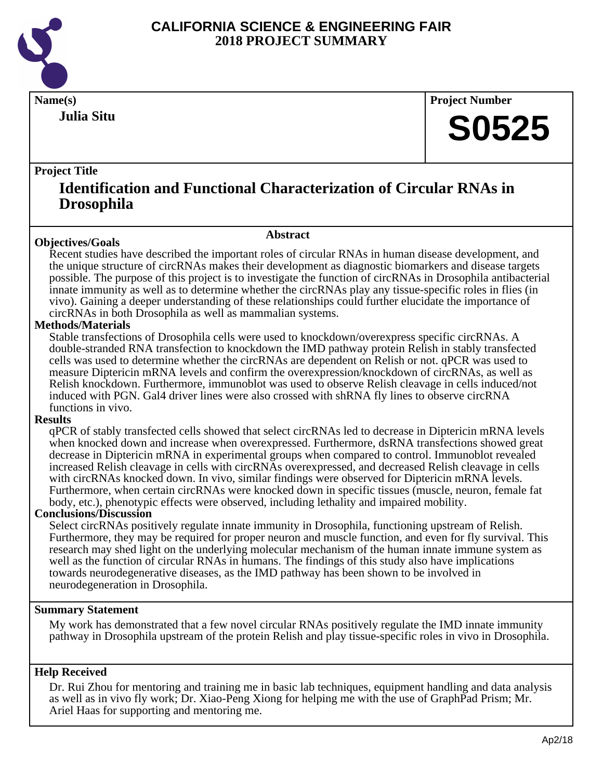

**Julia Situ**

**Name(s) Project Number**

## **S0525**

#### **Project Title**

### **Identification and Functional Characterization of Circular RNAs in Drosophila**

**Abstract**

#### **Objectives/Goals**

Recent studies have described the important roles of circular RNAs in human disease development, and the unique structure of circRNAs makes their development as diagnostic biomarkers and disease targets possible. The purpose of this project is to investigate the function of circRNAs in Drosophila antibacterial innate immunity as well as to determine whether the circRNAs play any tissue-specific roles in flies (in vivo). Gaining a deeper understanding of these relationships could further elucidate the importance of circRNAs in both Drosophila as well as mammalian systems.

#### **Methods/Materials**

Stable transfections of Drosophila cells were used to knockdown/overexpress specific circRNAs. A double-stranded RNA transfection to knockdown the IMD pathway protein Relish in stably transfected cells was used to determine whether the circRNAs are dependent on Relish or not. qPCR was used to measure Diptericin mRNA levels and confirm the overexpression/knockdown of circRNAs, as well as Relish knockdown. Furthermore, immunoblot was used to observe Relish cleavage in cells induced/not induced with PGN. Gal4 driver lines were also crossed with shRNA fly lines to observe circRNA functions in vivo.

#### **Results**

qPCR of stably transfected cells showed that select circRNAs led to decrease in Diptericin mRNA levels when knocked down and increase when overexpressed. Furthermore, dsRNA transfections showed great decrease in Diptericin mRNA in experimental groups when compared to control. Immunoblot revealed increased Relish cleavage in cells with circRNAs overexpressed, and decreased Relish cleavage in cells with circRNAs knocked down. In vivo, similar findings were observed for Diptericin mRNA levels. Furthermore, when certain circRNAs were knocked down in specific tissues (muscle, neuron, female fat body, etc.), phenotypic effects were observed, including lethality and impaired mobility.

#### **Conclusions/Discussion**

Select circRNAs positively regulate innate immunity in Drosophila, functioning upstream of Relish. Furthermore, they may be required for proper neuron and muscle function, and even for fly survival. This research may shed light on the underlying molecular mechanism of the human innate immune system as well as the function of circular RNAs in humans. The findings of this study also have implications towards neurodegenerative diseases, as the IMD pathway has been shown to be involved in neurodegeneration in Drosophila.

#### **Summary Statement**

My work has demonstrated that a few novel circular RNAs positively regulate the IMD innate immunity pathway in Drosophila upstream of the protein Relish and play tissue-specific roles in vivo in Drosophila.

#### **Help Received**

Dr. Rui Zhou for mentoring and training me in basic lab techniques, equipment handling and data analysis as well as in vivo fly work; Dr. Xiao-Peng Xiong for helping me with the use of GraphPad Prism; Mr. Ariel Haas for supporting and mentoring me.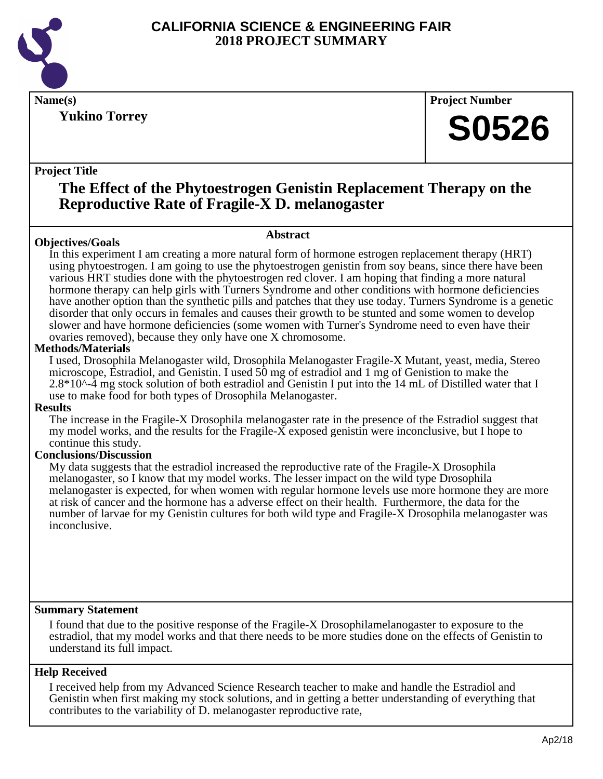

**Yukino Torrey**

**Name(s) Project Number**

## **S0526**

#### **Project Title**

### **The Effect of the Phytoestrogen Genistin Replacement Therapy on the Reproductive Rate of Fragile-X D. melanogaster**

**Abstract**

#### **Objectives/Goals**

In this experiment I am creating a more natural form of hormone estrogen replacement therapy (HRT) using phytoestrogen. I am going to use the phytoestrogen genistin from soy beans, since there have been various HRT studies done with the phytoestrogen red clover. I am hoping that finding a more natural hormone therapy can help girls with Turners Syndrome and other conditions with hormone deficiencies have another option than the synthetic pills and patches that they use today. Turners Syndrome is a genetic disorder that only occurs in females and causes their growth to be stunted and some women to develop slower and have hormone deficiencies (some women with Turner's Syndrome need to even have their ovaries removed), because they only have one X chromosome.

#### **Methods/Materials**

I used, Drosophila Melanogaster wild, Drosophila Melanogaster Fragile-X Mutant, yeast, media, Stereo microscope, Estradiol, and Genistin. I used 50 mg of estradiol and 1 mg of Genistion to make the 2.8\*10^-4 mg stock solution of both estradiol and Genistin I put into the 14 mL of Distilled water that I use to make food for both types of Drosophila Melanogaster.

#### **Results**

The increase in the Fragile-X Drosophila melanogaster rate in the presence of the Estradiol suggest that my model works, and the results for the Fragile-X exposed genistin were inconclusive, but I hope to continue this study.

#### **Conclusions/Discussion**

My data suggests that the estradiol increased the reproductive rate of the Fragile-X Drosophila melanogaster, so I know that my model works. The lesser impact on the wild type Drosophila melanogaster is expected, for when women with regular hormone levels use more hormone they are more at risk of cancer and the hormone has a adverse effect on their health. Furthermore, the data for the number of larvae for my Genistin cultures for both wild type and Fragile-X Drosophila melanogaster was inconclusive.

#### **Summary Statement**

I found that due to the positive response of the Fragile-X Drosophilamelanogaster to exposure to the estradiol, that my model works and that there needs to be more studies done on the effects of Genistin to understand its full impact.

#### **Help Received**

I received help from my Advanced Science Research teacher to make and handle the Estradiol and Genistin when first making my stock solutions, and in getting a better understanding of everything that contributes to the variability of D. melanogaster reproductive rate,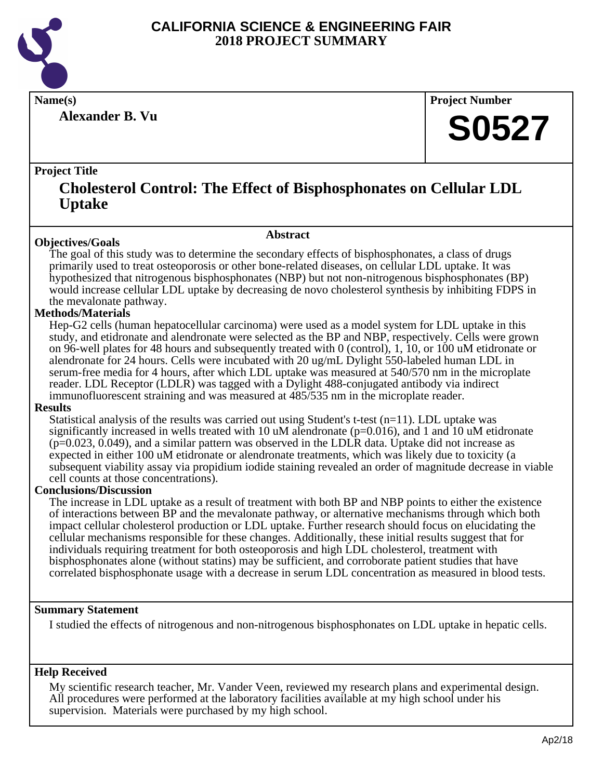

**Alexander B. Vu**

**Name(s) Project Number**

## **S0527**

#### **Project Title**

### **Cholesterol Control: The Effect of Bisphosphonates on Cellular LDL Uptake**

#### **Abstract**

**Objectives/Goals** The goal of this study was to determine the secondary effects of bisphosphonates, a class of drugs primarily used to treat osteoporosis or other bone-related diseases, on cellular LDL uptake. It was hypothesized that nitrogenous bisphosphonates (NBP) but not non-nitrogenous bisphosphonates (BP) would increase cellular LDL uptake by decreasing de novo cholesterol synthesis by inhibiting FDPS in the mevalonate pathway.

#### **Methods/Materials**

Hep-G2 cells (human hepatocellular carcinoma) were used as a model system for LDL uptake in this study, and etidronate and alendronate were selected as the BP and NBP, respectively. Cells were grown on 96-well plates for 48 hours and subsequently treated with 0 (control), 1, 10, or 100 uM etidronate or alendronate for 24 hours. Cells were incubated with 20 ug/mL Dylight 550-labeled human LDL in serum-free media for 4 hours, after which LDL uptake was measured at 540/570 nm in the microplate reader. LDL Receptor (LDLR) was tagged with a Dylight 488-conjugated antibody via indirect immunofluorescent straining and was measured at 485/535 nm in the microplate reader.

#### **Results**

Statistical analysis of the results was carried out using Student's t-test  $(n=11)$ . LDL uptake was significantly increased in wells treated with 10  $\mu$ M alendronate ( $p=0.016$ ), and 1 and 10  $\mu$ M etidronate (p=0.023, 0.049), and a similar pattern was observed in the LDLR data. Uptake did not increase as expected in either 100 uM etidronate or alendronate treatments, which was likely due to toxicity (a subsequent viability assay via propidium iodide staining revealed an order of magnitude decrease in viable cell counts at those concentrations).

#### **Conclusions/Discussion**

The increase in LDL uptake as a result of treatment with both BP and NBP points to either the existence of interactions between BP and the mevalonate pathway, or alternative mechanisms through which both impact cellular cholesterol production or LDL uptake. Further research should focus on elucidating the cellular mechanisms responsible for these changes. Additionally, these initial results suggest that for individuals requiring treatment for both osteoporosis and high LDL cholesterol, treatment with bisphosphonates alone (without statins) may be sufficient, and corroborate patient studies that have correlated bisphosphonate usage with a decrease in serum LDL concentration as measured in blood tests.

#### **Summary Statement**

I studied the effects of nitrogenous and non-nitrogenous bisphosphonates on LDL uptake in hepatic cells.

#### **Help Received**

My scientific research teacher, Mr. Vander Veen, reviewed my research plans and experimental design. All procedures were performed at the laboratory facilities available at my high school under his supervision. Materials were purchased by my high school.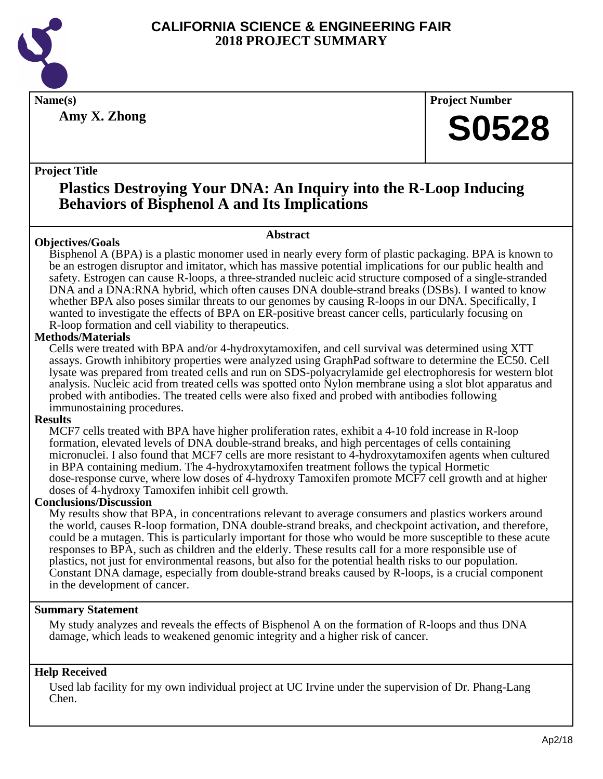

**Amy X. Zhong**

**Name(s) Project Number**

## **S0528**

#### **Project Title**

## **Plastics Destroying Your DNA: An Inquiry into the R-Loop Inducing Behaviors of Bisphenol A and Its Implications**

#### **Objectives/Goals**

**Abstract**

Bisphenol A (BPA) is a plastic monomer used in nearly every form of plastic packaging. BPA is known to be an estrogen disruptor and imitator, which has massive potential implications for our public health and safety. Estrogen can cause R-loops, a three-stranded nucleic acid structure composed of a single-stranded DNA and a DNA:RNA hybrid, which often causes DNA double-strand breaks (DSBs). I wanted to know whether BPA also poses similar threats to our genomes by causing R-loops in our DNA. Specifically, I wanted to investigate the effects of BPA on ER-positive breast cancer cells, particularly focusing on R-loop formation and cell viability to therapeutics.

#### **Methods/Materials**

Cells were treated with BPA and/or 4-hydroxytamoxifen, and cell survival was determined using XTT assays. Growth inhibitory properties were analyzed using GraphPad software to determine the EC50. Cell lysate was prepared from treated cells and run on SDS-polyacrylamide gel electrophoresis for western blot analysis. Nucleic acid from treated cells was spotted onto Nylon membrane using a slot blot apparatus and probed with antibodies. The treated cells were also fixed and probed with antibodies following immunostaining procedures.

#### **Results**

MCF7 cells treated with BPA have higher proliferation rates, exhibit a 4-10 fold increase in R-loop formation, elevated levels of DNA double-strand breaks, and high percentages of cells containing micronuclei. I also found that MCF7 cells are more resistant to 4-hydroxytamoxifen agents when cultured in BPA containing medium. The 4-hydroxytamoxifen treatment follows the typical Hormetic dose-response curve, where low doses of 4-hydroxy Tamoxifen promote MCF7 cell growth and at higher doses of 4-hydroxy Tamoxifen inhibit cell growth.

#### **Conclusions/Discussion**

My results show that BPA, in concentrations relevant to average consumers and plastics workers around the world, causes R-loop formation, DNA double-strand breaks, and checkpoint activation, and therefore, could be a mutagen. This is particularly important for those who would be more susceptible to these acute responses to BPA, such as children and the elderly. These results call for a more responsible use of plastics, not just for environmental reasons, but also for the potential health risks to our population. Constant DNA damage, especially from double-strand breaks caused by R-loops, is a crucial component in the development of cancer.

#### **Summary Statement**

My study analyzes and reveals the effects of Bisphenol A on the formation of R-loops and thus DNA damage, which leads to weakened genomic integrity and a higher risk of cancer.

#### **Help Received**

Used lab facility for my own individual project at UC Irvine under the supervision of Dr. Phang-Lang Chen.